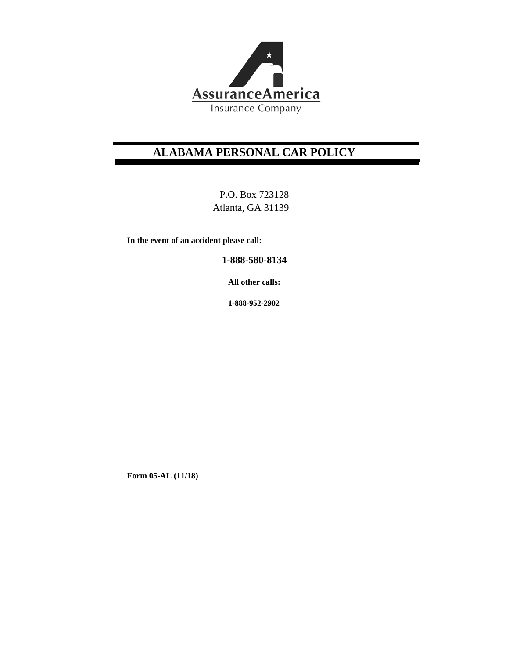

# **ALABAMA PERSONAL CAR POLICY**

P.O. Box 723128 Atlanta, GA 31139

**In the event of an accident please call:** 

**1-888-580-8134**

**All other calls:**

**1-888-952-2902**

**Form 05-AL (11/18)**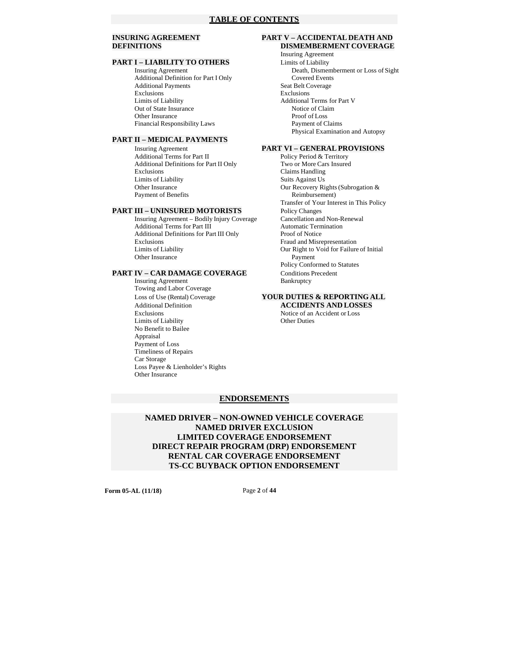# **PART I – LIABILITY TO OTHERS**<br>Insuring Agreement

Additional Definition for Part I Only Covered Events Additional Payments Seat Belt Coverage Exclusions Exclusions Limits of Liability<br>
Out of State Insurance<br>
Notice of Claim<br>
Notice of Claim Out of State Insurance Other Insurance Proof of Loss Financial Responsibility Laws Payment of Claims

#### **PART II – MEDICAL PAYMENTS**

**Insuring Agreement <b>PART VI** – **GENERAL PROVISIONS**<br>Additional Terms for Part II Policy Period & Territory Additional Terms for Part II Policy Period & Territory<br>Additional Definitions for Part II Only Two or More Cars Insured Additional Definitions for Part II Only Exclusions Claims Handling Limits of Liability<br>
Other Insurance<br>
Our Recovery Ri Payment of Benefits Reimbursement)

Insuring Agreement – Bodily Injury Coverage Cancellation and Non-R<br>Additional Terms for Part III Automatic Termination Additional Terms for Part III Additional Definitions for Part III Only Proof of Notice<br>Exclusions Fraud and Misro Limits of Liability **Our Right to Void for Failure of Initial** Other Insurance Payment Other Insurance

#### **PART IV – CAR DAMAGE COVERAGE** Conditions Precedent

Insuring Agreement Bankruptcy Towing and Labor Coverage Loss of Use (Rental) Coverage **YOUR DUTIES & REPORTING ALL**  Exclusions Notice of an Accident or Loss<br>
Limits of Liability Chern Duties<br>
Other Duties Limits of Liability No Benefit to Bailee Appraisal Payment of Loss Timeliness of Repairs Car Storage Loss Payee & Lienholder's Rights Other Insurance

#### **INSURING AGREEMENT PART V – ACCIDENTAL DEATH AND DEFINITIONS DISMEMBERMENT COVERAGE**

Insuring Agreement<br>Limits of Liability Death, Dismemberment or Loss of Sight Physical Examination and Autopsy

Our Recovery Rights (Subrogation & Transfer of Your Interest in This Policy **PART III – UNINSURED MOTORISTS** Policy Changes<br>
Insuring Agreement – Bodily Injury Coverage Cancellation and Non-Renewal Fraud and Misrepresentation Policy Conformed to Statutes

# Additional Definition **ACCIDENTS AND LOSSES**

#### **ENDORSEMENTS**

**NAMED DRIVER – NON-OWNED VEHICLE COVERAGE NAMED DRIVER EXCLUSION LIMITED COVERAGE ENDORSEMENT DIRECT REPAIR PROGRAM (DRP) ENDORSEMENT RENTAL CAR COVERAGE ENDORSEMENT TS-CC BUYBACK OPTION ENDORSEMENT** 

**Form 05-AL (11/18)** Page **2** of **44**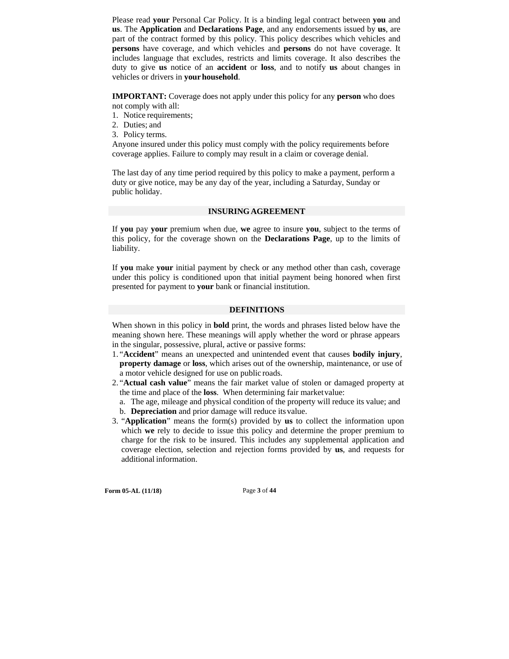Please read **your** Personal Car Policy. It is a binding legal contract between **you** and **us**. The **Application** and **Declarations Page**, and any endorsements issued by **us**, are part of the contract formed by this policy. This policy describes which vehicles and **persons** have coverage, and which vehicles and **persons** do not have coverage. It includes language that excludes, restricts and limits coverage. It also describes the duty to give **us** notice of an **accident** or **loss**, and to notify **us** about changes in vehicles or drivers in **your household**.

**IMPORTANT:** Coverage does not apply under this policy for any **person** who does not comply with all:

- 1. Notice requirements;
- 2. Duties; and
- 3. Policy terms.

Anyone insured under this policy must comply with the policy requirements before coverage applies. Failure to comply may result in a claim or coverage denial.

The last day of any time period required by this policy to make a payment, perform a duty or give notice, may be any day of the year, including a Saturday, Sunday or public holiday.

#### **INSURING AGREEMENT**

If **you** pay **your** premium when due, **we** agree to insure **you**, subject to the terms of this policy, for the coverage shown on the **Declarations Page**, up to the limits of liability.

If **you** make **your** initial payment by check or any method other than cash, coverage under this policy is conditioned upon that initial payment being honored when first presented for payment to **your** bank or financial institution.

#### **DEFINITIONS**

When shown in this policy in **bold** print, the words and phrases listed below have the meaning shown here. These meanings will apply whether the word or phrase appears in the singular, possessive, plural, active or passive forms:

- 1. "**Accident**" means an unexpected and unintended event that causes **bodily injury**, **property damage** or **loss**, which arises out of the ownership, maintenance, or use of a motor vehicle designed for use on public roads.
- 2. "**Actual cash value**" means the fair market value of stolen or damaged property at the time and place of the **loss**. When determining fair market value:
	- a. The age, mileage and physical condition of the property will reduce its value; and
	- b. **Depreciation** and prior damage will reduce its value.
- 3. "**Application**" means the form(s) provided by **us** to collect the information upon which **we** rely to decide to issue this policy and determine the proper premium to charge for the risk to be insured. This includes any supplemental application and coverage election, selection and rejection forms provided by **us**, and requests for additional information.

**Form 05-AL (11/18)** Page **3** of **44**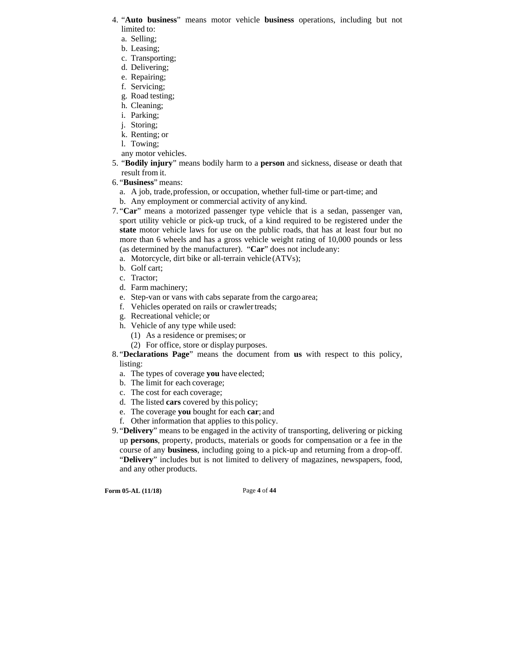- 4. "**Auto business**" means motor vehicle **business** operations, including but not limited to:
	- a. Selling;
	- b. Leasing;
	- c. Transporting;
	- d. Delivering;
	- e. Repairing;
	- f. Servicing; g. Road testing;
	- h. Cleaning;
	- i. Parking;
	- j. Storing;
	- k. Renting; or
	- l. Towing;
	- any motor vehicles.
- 5. "**Bodily injury**" means bodily harm to a **person** and sickness, disease or death that result from it.
- 6. "**Business**" means:
	- a. A job, trade, profession, or occupation, whether full-time or part-time; and
	- b. Any employment or commercial activity of any kind.
- 7. "**Car**" means a motorized passenger type vehicle that is a sedan, passenger van, sport utility vehicle or pick-up truck, of a kind required to be registered under the **state** motor vehicle laws for use on the public roads, that has at least four but no more than 6 wheels and has a gross vehicle weight rating of 10,000 pounds or less (as determined by the manufacturer). "**Car**" does not include any:
	- a. Motorcycle, dirt bike or all-terrain vehicle (ATVs);
	- b. Golf cart;
	- c. Tractor;
	- d. Farm machinery;
	- e. Step-van or vans with cabs separate from the cargo area;
	- f. Vehicles operated on rails or crawler treads;
	- g. Recreational vehicle; or
	- h. Vehicle of any type while used:
		- (1) As a residence or premises; or
		- (2) For office, store or display purposes.

8. "**Declarations Page**" means the document from **us** with respect to this policy, listing:

- a. The types of coverage **you** have elected;
- b. The limit for each coverage;
- c. The cost for each coverage;
- d. The listed **cars** covered by this policy;
- e. The coverage **you** bought for each **car**; and
- f. Other information that applies to this policy.
- 9. "**Delivery**" means to be engaged in the activity of transporting, delivering or picking up **persons**, property, products, materials or goods for compensation or a fee in the course of any **business**, including going to a pick-up and returning from a drop-off. "**Delivery**" includes but is not limited to delivery of magazines, newspapers, food, and any other products.

**Form 05-AL (11/18)** Page **4** of **44**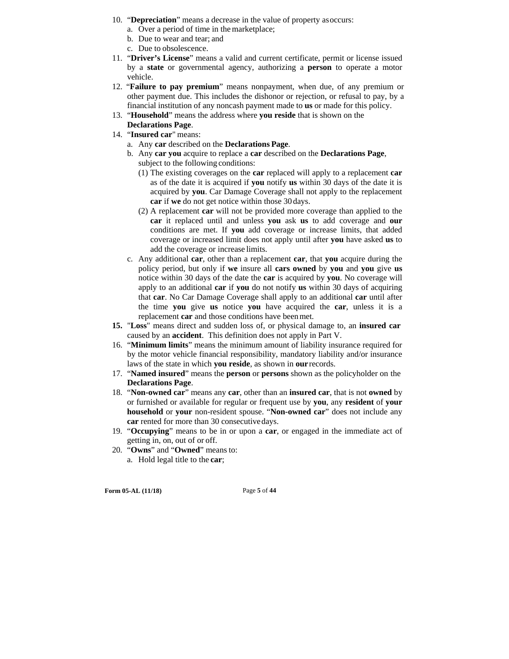- 10. "**Depreciation**" means a decrease in the value of property as occurs:
	- a. Over a period of time in the marketplace;
	- b. Due to wear and tear; and
	- c. Due to obsolescence.
- 11. "**Driver's License**" means a valid and current certificate, permit or license issued by a **state** or governmental agency, authorizing a **person** to operate a motor vehicle.
- 12. "**Failure to pay premium**" means nonpayment, when due, of any premium or other payment due. This includes the dishonor or rejection, or refusal to pay, by a financial institution of any noncash payment made to **us** or made for this policy.
- 13. "**Household**" means the address where **you reside** that is shown on the
- **Declarations Page**.
- 14. "**Insured car**" means:
	- a. Any **car** described on the **Declarations Page**.
	- b. Any **car you** acquire to replace a **car** described on the **Declarations Page**, subject to the following conditions:
		- (1) The existing coverages on the **car** replaced will apply to a replacement **car**  as of the date it is acquired if **you** notify **us** within 30 days of the date it is acquired by **you**. Car Damage Coverage shall not apply to the replacement **car** if **we** do not get notice within those 30 days.
		- (2) A replacement **car** will not be provided more coverage than applied to the **car** it replaced until and unless **you** ask **us** to add coverage and **our**  conditions are met. If **you** add coverage or increase limits, that added coverage or increased limit does not apply until after **you** have asked **us** to add the coverage or increase limits.
	- c. Any additional **car**, other than a replacement **car**, that **you** acquire during the policy period, but only if **we** insure all **cars owned** by **you** and **you** give **us**  notice within 30 days of the date the **car** is acquired by **you**. No coverage will apply to an additional **car** if **you** do not notify **us** within 30 days of acquiring that **car**. No Car Damage Coverage shall apply to an additional **car** until after the time **you** give **us** notice **you** have acquired the **car**, unless it is a replacement **car** and those conditions have been met.
- **15.** "**Loss**" means direct and sudden loss of, or physical damage to, an **insured car**  caused by an **accident**. This definition does not apply in Part V.
- 16. "**Minimum limits**" means the minimum amount of liability insurance required for by the motor vehicle financial responsibility, mandatory liability and/or insurance laws of the state in which **you reside**, as shown in **our** records.
- 17. "**Named insured**" means the **person** or **persons** shown as the policyholder on the **Declarations Page**.
- 18. "**Non-owned car**" means any **car**, other than an **insured car**, that is not **owned** by or furnished or available for regular or frequent use by **you**, any **resident** of **your household** or **your** non-resident spouse. "**Non-owned car**" does not include any **car** rented for more than 30 consecutive days.
- 19. "**Occupying**" means to be in or upon a **car**, or engaged in the immediate act of getting in, on, out of or off.
- 20. "**Owns**" and "**Owned**" means to: a. Hold legal title to the **car**;

**Form 05-AL (11/18)** Page **5** of **44**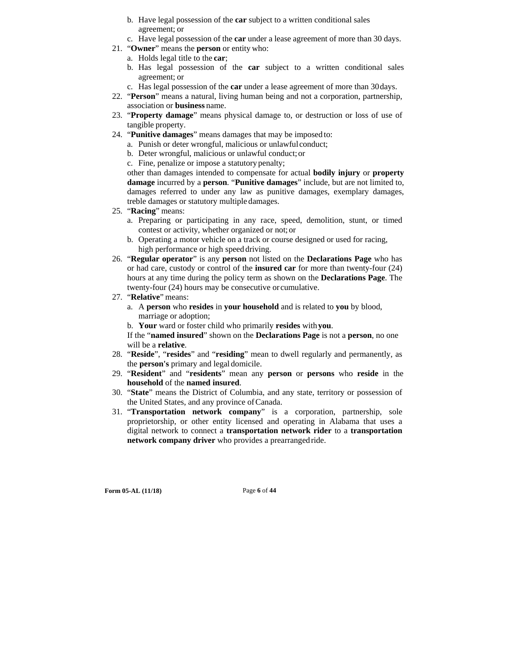- b. Have legal possession of the **car** subject to a written conditional sales agreement; or
- c. Have legal possession of the **car** under a lease agreement of more than 30 days.
- 21. "**Owner**" means the **person** or entity who:
	- a. Holds legal title to the **car**;
	- b. Has legal possession of the **car** subject to a written conditional sales agreement; or
	- c. Has legal possession of the **car** under a lease agreement of more than 30 days.
- 22. "**Person**" means a natural, living human being and not a corporation, partnership, association or **business** name.
- 23. "**Property damage**" means physical damage to, or destruction or loss of use of tangible property.
- 24. "**Punitive damages**" means damages that may be imposed to:
	- a. Punish or deter wrongful, malicious or unlawful conduct;
	- b. Deter wrongful, malicious or unlawful conduct; or
	- c. Fine, penalize or impose a statutory penalty;

other than damages intended to compensate for actual **bodily injury** or **property damage** incurred by a **person**. "**Punitive damages**" include, but are not limited to, damages referred to under any law as punitive damages, exemplary damages, treble damages or statutory multiple damages.

- 25. "**Racing**" means:
	- a. Preparing or participating in any race, speed, demolition, stunt, or timed contest or activity, whether organized or not; or
	- b. Operating a motor vehicle on a track or course designed or used for racing, high performance or high speed driving.
- 26. "**Regular operator**" is any **person** not listed on the **Declarations Page** who has or had care, custody or control of the **insured car** for more than twenty-four (24) hours at any time during the policy term as shown on the **Declarations Page**. The twenty-four (24) hours may be consecutive or cumulative.
- 27. "**Relative**" means:
	- a. A **person** who **resides** in **your household** and is related to **you** by blood, marriage or adoption;
	- b. **Your** ward or foster child who primarily **resides** with **you**.

If the "**named insured**" shown on the **Declarations Page** is not a **person**, no one will be a **relative**.

- 28. "**Reside**", "**resides**" and "**residing**" mean to dwell regularly and permanently, as the **person's** primary and legal domicile.
- 29. "**Resident**" and "**residents**" mean any **person** or **persons** who **reside** in the **household** of the **named insured**.
- 30. "**State**" means the District of Columbia, and any state, territory or possession of the United States, and any province of Canada.
- 31. "**Transportation network company**" is a corporation, partnership, sole proprietorship, or other entity licensed and operating in Alabama that uses a digital network to connect a **transportation network rider** to a **transportation network company driver** who provides a prearranged ride.

**Form 05-AL (11/18)** Page **6** of **44**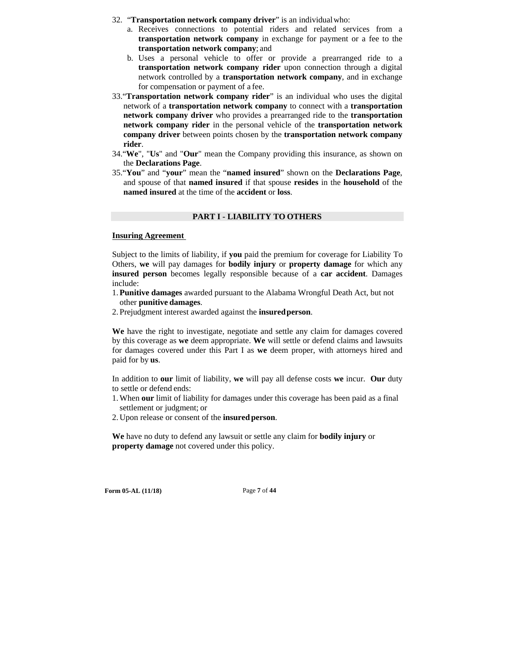- 32. "**Transportation network company driver**" is an individual who:
	- a. Receives connections to potential riders and related services from a **transportation network company** in exchange for payment or a fee to the **transportation network company**; and
	- b. Uses a personal vehicle to offer or provide a prearranged ride to a **transportation network company rider** upon connection through a digital network controlled by a **transportation network company**, and in exchange for compensation or payment of a fee.
- 33."**Transportation network company rider**" is an individual who uses the digital network of a **transportation network company** to connect with a **transportation network company driver** who provides a prearranged ride to the **transportation network company rider** in the personal vehicle of the **transportation network company driver** between points chosen by the **transportation network company rider**.
- 34."**We**", "**Us**" and "**Our**" mean the Company providing this insurance, as shown on the **Declarations Page**.
- 35."**You**" and "**your**" mean the "**named insured**" shown on the **Declarations Page**, and spouse of that **named insured** if that spouse **resides** in the **household** of the **named insured** at the time of the **accident** or **loss**.

#### **PART I - LIABILITY TO OTHERS**

#### **Insuring Agreement**

Subject to the limits of liability, if **you** paid the premium for coverage for Liability To Others, **we** will pay damages for **bodily injury** or **property damage** for which any **insured person** becomes legally responsible because of a **car accident**. Damages include:

- 1. **Punitive damages** awarded pursuant to the Alabama Wrongful Death Act, but not other **punitive damages**.
- 2. Prejudgment interest awarded against the **insured person**.

**We** have the right to investigate, negotiate and settle any claim for damages covered by this coverage as **we** deem appropriate. **We** will settle or defend claims and lawsuits for damages covered under this Part I as **we** deem proper, with attorneys hired and paid for by **us**.

In addition to **our** limit of liability, **we** will pay all defense costs **we** incur. **Our** duty to settle or defend ends:

- 1. When **our** limit of liability for damages under this coverage has been paid as a final settlement or judgment; or
- 2. Upon release or consent of the **insured person**.

**We** have no duty to defend any lawsuit or settle any claim for **bodily injury** or **property damage** not covered under this policy.

**Form 05-AL (11/18)** Page **7** of **44**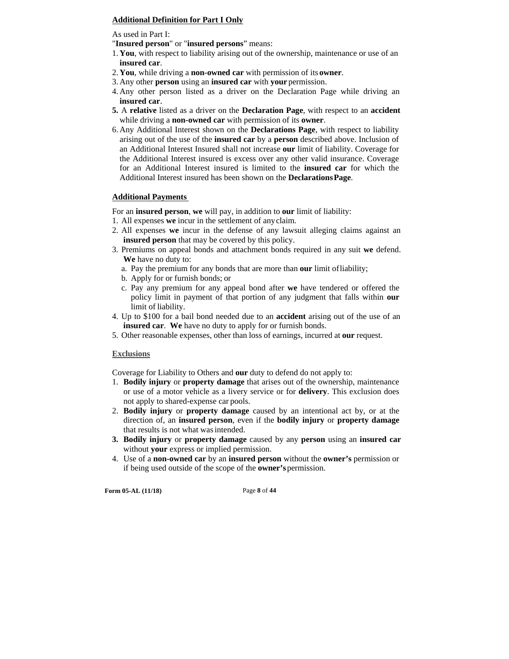# **Additional Definition for Part I Only**

As used in Part I:

"**Insured person**" or "**insured persons**" means:

- 1. **You**, with respect to liability arising out of the ownership, maintenance or use of an **insured car**.
- 2. **You**, while driving a **non-owned car** with permission of its **owner**.
- 3. Any other **person** using an **insured car** with **your** permission.
- 4. Any other person listed as a driver on the Declaration Page while driving an **insured car**.
- **5.** A **relative** listed as a driver on the **Declaration Page**, with respect to an **accident**  while driving a **non-owned car** with permission of its **owner**.
- 6. Any Additional Interest shown on the **Declarations Page**, with respect to liability arising out of the use of the **insured car** by a **person** described above. Inclusion of an Additional Interest Insured shall not increase **our** limit of liability. Coverage for the Additional Interest insured is excess over any other valid insurance. Coverage for an Additional Interest insured is limited to the **insured car** for which the Additional Interest insured has been shown on the **Declarations Page**.

#### **Additional Payments**

For an **insured person**, **we** will pay, in addition to **our** limit of liability:

- 1. All expenses **we** incur in the settlement of any claim.
- 2. All expenses **we** incur in the defense of any lawsuit alleging claims against an **insured person** that may be covered by this policy.
- 3. Premiums on appeal bonds and attachment bonds required in any suit **we** defend. **We** have no duty to:
	- a. Pay the premium for any bonds that are more than **our** limit of liability;
	- b. Apply for or furnish bonds; or
	- c. Pay any premium for any appeal bond after **we** have tendered or offered the policy limit in payment of that portion of any judgment that falls within **our**  limit of liability.
- 4. Up to \$100 for a bail bond needed due to an **accident** arising out of the use of an **insured car**. **We** have no duty to apply for or furnish bonds.
- 5. Other reasonable expenses, other than loss of earnings, incurred at **our** request.

#### **Exclusions**

Coverage for Liability to Others and **our** duty to defend do not apply to:

- 1. **Bodily injury** or **property damage** that arises out of the ownership, maintenance or use of a motor vehicle as a livery service or for **delivery**. This exclusion does not apply to shared-expense car pools.
- 2. **Bodily injury** or **property damage** caused by an intentional act by, or at the direction of, an **insured person**, even if the **bodily injury** or **property damage**  that results is not what was intended.
- **3. Bodily injury** or **property damage** caused by any **person** using an **insured car**  without **your** express or implied permission.
- 4. Use of a **non-owned car** by an **insured person** without the **owner's** permission or if being used outside of the scope of the **owner's** permission.

**Form 05-AL (11/18)** Page **8** of **44**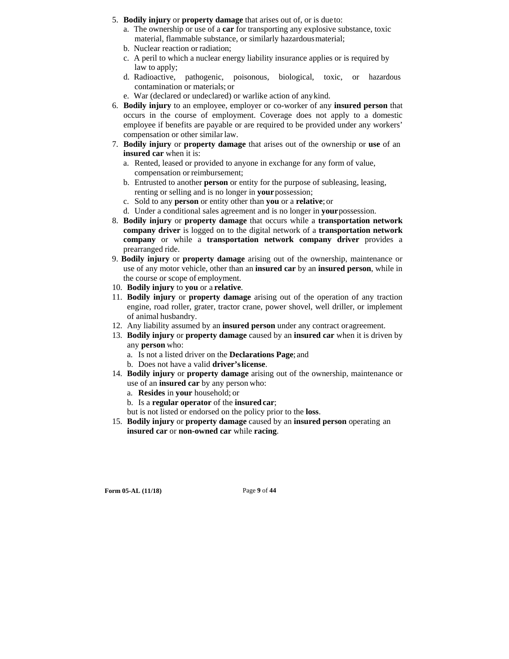- 5. **Bodily injury** or **property damage** that arises out of, or is due to:
	- a. The ownership or use of a **car** for transporting any explosive substance, toxic material, flammable substance, or similarly hazardous material;
	- b. Nuclear reaction or radiation;
	- c. A peril to which a nuclear energy liability insurance applies or is required by law to apply;
	- d. Radioactive, pathogenic, poisonous, biological, toxic, or hazardous contamination or materials; or
	- e. War (declared or undeclared) or warlike action of any kind.
- 6. **Bodily injury** to an employee, employer or co-worker of any **insured person** that occurs in the course of employment. Coverage does not apply to a domestic employee if benefits are payable or are required to be provided under any workers' compensation or other similar law.
- 7. **Bodily injury** or **property damage** that arises out of the ownership or **use** of an **insured car** when it is:
	- a. Rented, leased or provided to anyone in exchange for any form of value, compensation or reimbursement;
	- b. Entrusted to another **person** or entity for the purpose of subleasing, leasing, renting or selling and is no longer in **your** possession;
	- c. Sold to any **person** or entity other than **you** or a **relative**; or
	- d. Under a conditional sales agreement and is no longer in **your** possession.
- 8. **Bodily injury** or **property damage** that occurs while a **transportation network company driver** is logged on to the digital network of a **transportation network company** or while a **transportation network company driver** provides a prearranged ride.
- 9. **Bodily injury** or **property damage** arising out of the ownership, maintenance or use of any motor vehicle, other than an **insured car** by an **insured person**, while in the course or scope of employment.
- 10. **Bodily injury** to **you** or a **relative**.
- 11. **Bodily injury** or **property damage** arising out of the operation of any traction engine, road roller, grater, tractor crane, power shovel, well driller, or implement of animal husbandry.
- 12. Any liability assumed by an **insured person** under any contract or agreement.
- 13. **Bodily injury** or **property damage** caused by an **insured car** when it is driven by any **person** who:
	- a. Is not a listed driver on the **Declarations Page**; and
	- b. Does not have a valid **driver's license**.
- 14. **Bodily injury** or **property damage** arising out of the ownership, maintenance or use of an **insured car** by any person who:
	- a. **Resides** in **your** household; or
	- b. Is a **regular operator** of the **insured car**;
	- but is not listed or endorsed on the policy prior to the **loss**.
- 15. **Bodily injury** or **property damage** caused by an **insured person** operating an **insured car** or **non-owned car** while **racing**.

**Form 05-AL (11/18)** Page **9** of **44**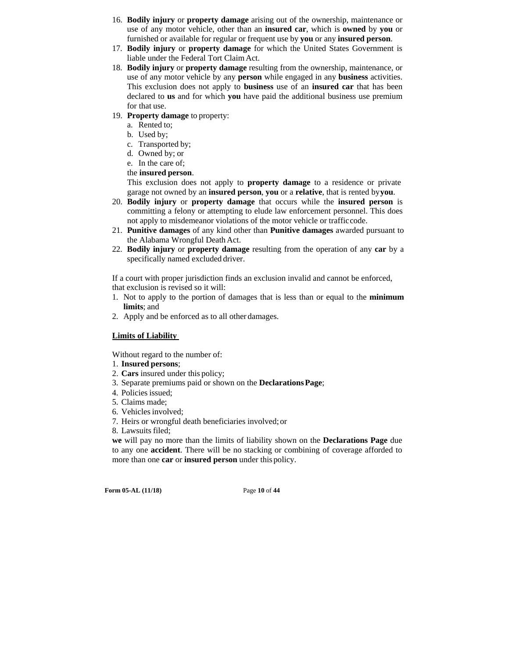- 16. **Bodily injury** or **property damage** arising out of the ownership, maintenance or use of any motor vehicle, other than an **insured car**, which is **owned** by **you** or furnished or available for regular or frequent use by **you** or any **insured person**.
- 17. **Bodily injury** or **property damage** for which the United States Government is liable under the Federal Tort Claim Act.
- 18. **Bodily injury** or **property damage** resulting from the ownership, maintenance, or use of any motor vehicle by any **person** while engaged in any **business** activities. This exclusion does not apply to **business** use of an **insured car** that has been declared to **us** and for which **you** have paid the additional business use premium for that use.
- 19. **Property damage** to property:
	- a. Rented to;
	- b. Used by;
	- c. Transported by;
	- d. Owned by; or
	- e. In the care of;
	- the **insured person**.

This exclusion does not apply to **property damage** to a residence or private garage not owned by an **insured person**, **you** or a **relative**, that is rented by **you**.

- 20. **Bodily injury** or **property damage** that occurs while the **insured person** is committing a felony or attempting to elude law enforcement personnel. This does not apply to misdemeanor violations of the motor vehicle or traffic code.
- 21. **Punitive damages** of any kind other than **Punitive damages** awarded pursuant to the Alabama Wrongful Death Act.
- 22. **Bodily injury** or **property damage** resulting from the operation of any **car** by a specifically named excluded driver.

If a court with proper jurisdiction finds an exclusion invalid and cannot be enforced, that exclusion is revised so it will:

- 1. Not to apply to the portion of damages that is less than or equal to the **minimum limits**; and
- 2. Apply and be enforced as to all other damages.

# **Limits of Liability**

Without regard to the number of:

- 1. **Insured persons**;
- 2. **Cars** insured under this policy;
- 3. Separate premiums paid or shown on the **Declarations Page**;
- 4. Policies issued;
- 5. Claims made;
- 6. Vehicles involved;
- 7. Heirs or wrongful death beneficiaries involved; or
- 8. Lawsuits filed;

**we** will pay no more than the limits of liability shown on the **Declarations Page** due to any one **accident**. There will be no stacking or combining of coverage afforded to more than one **car** or **insured person** under this policy.

**Form 05-AL (11/18)** Page **10** of **44**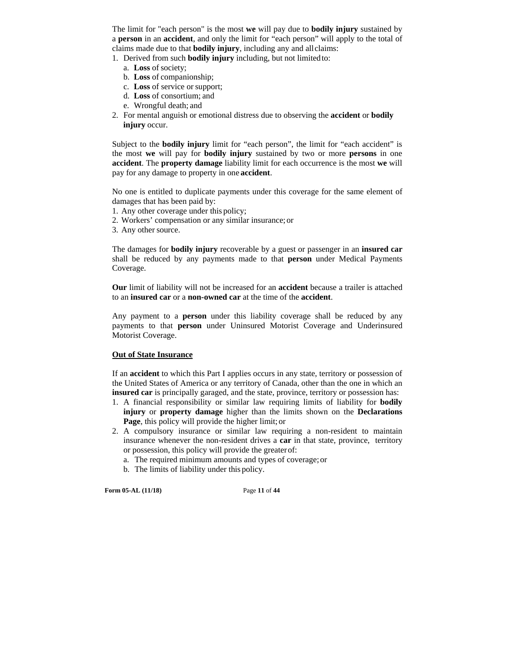The limit for "each person" is the most **we** will pay due to **bodily injury** sustained by a **person** in an **accident**, and only the limit for "each person" will apply to the total of claims made due to that **bodily injury**, including any and all claims:

1. Derived from such **bodily injury** including, but not limited to:

- a. **Loss** of society;
- b. **Loss** of companionship;
- c. **Loss** of service or support;
- d. **Loss** of consortium; and
- e. Wrongful death; and
- 2. For mental anguish or emotional distress due to observing the **accident** or **bodily injury** occur.

Subject to the **bodily injury** limit for "each person", the limit for "each accident" is the most **we** will pay for **bodily injury** sustained by two or more **persons** in one **accident**. The **property damage** liability limit for each occurrence is the most **we** will pay for any damage to property in one **accident**.

No one is entitled to duplicate payments under this coverage for the same element of damages that has been paid by:

- 1. Any other coverage under this policy;
- 2. Workers' compensation or any similar insurance; or
- 3. Any other source.

The damages for **bodily injury** recoverable by a guest or passenger in an **insured car**  shall be reduced by any payments made to that **person** under Medical Payments Coverage.

**Our** limit of liability will not be increased for an **accident** because a trailer is attached to an **insured car** or a **non-owned car** at the time of the **accident**.

Any payment to a **person** under this liability coverage shall be reduced by any payments to that **person** under Uninsured Motorist Coverage and Underinsured Motorist Coverage.

#### **Out of State Insurance**

If an **accident** to which this Part I applies occurs in any state, territory or possession of the United States of America or any territory of Canada, other than the one in which an **insured car** is principally garaged, and the state, province, territory or possession has:

- 1. A financial responsibility or similar law requiring limits of liability for **bodily injury** or **property damage** higher than the limits shown on the **Declarations Page**, this policy will provide the higher limit; or
- 2. A compulsory insurance or similar law requiring a non-resident to maintain insurance whenever the non-resident drives a **car** in that state, province, territory or possession, this policy will provide the greater of:
	- a. The required minimum amounts and types of coverage; or
	- b. The limits of liability under this policy.

**Form 05-AL (11/18)** Page **11** of **44**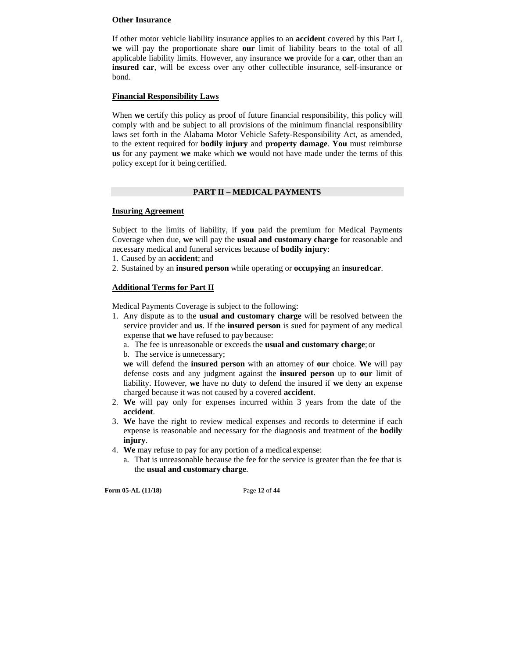# **Other Insurance**

If other motor vehicle liability insurance applies to an **accident** covered by this Part I, **we** will pay the proportionate share **our** limit of liability bears to the total of all applicable liability limits. However, any insurance **we** provide for a **car**, other than an **insured car**, will be excess over any other collectible insurance, self-insurance or bond.

# **Financial Responsibility Laws**

When **we** certify this policy as proof of future financial responsibility, this policy will comply with and be subject to all provisions of the minimum financial responsibility laws set forth in the Alabama Motor Vehicle Safety-Responsibility Act, as amended, to the extent required for **bodily injury** and **property damage**. **You** must reimburse **us** for any payment **we** make which **we** would not have made under the terms of this policy except for it being certified.

# **PART II – MEDICAL PAYMENTS**

# **Insuring Agreement**

Subject to the limits of liability, if **you** paid the premium for Medical Payments Coverage when due, **we** will pay the **usual and customary charge** for reasonable and necessary medical and funeral services because of **bodily injury**:

- 1. Caused by an **accident**; and
- 2. Sustained by an **insured person** while operating or **occupying** an **insured car**.

# **Additional Terms for Part II**

Medical Payments Coverage is subject to the following:

- 1. Any dispute as to the **usual and customary charge** will be resolved between the service provider and **us**. If the **insured person** is sued for payment of any medical expense that **we** have refused to pay because:
	- a. The fee is unreasonable or exceeds the **usual and customary charge**; or
	- b. The service is unnecessary;

**we** will defend the **insured person** with an attorney of **our** choice. **We** will pay defense costs and any judgment against the **insured person** up to **our** limit of liability. However, **we** have no duty to defend the insured if **we** deny an expense charged because it was not caused by a covered **accident**.

- 2. **We** will pay only for expenses incurred within 3 years from the date of the **accident**.
- 3. **We** have the right to review medical expenses and records to determine if each expense is reasonable and necessary for the diagnosis and treatment of the **bodily injury**.
- 4. **We** may refuse to pay for any portion of a medical expense:
	- a. That is unreasonable because the fee for the service is greater than the fee that is the **usual and customary charge**.

**Form 05-AL (11/18)** Page **12** of **44**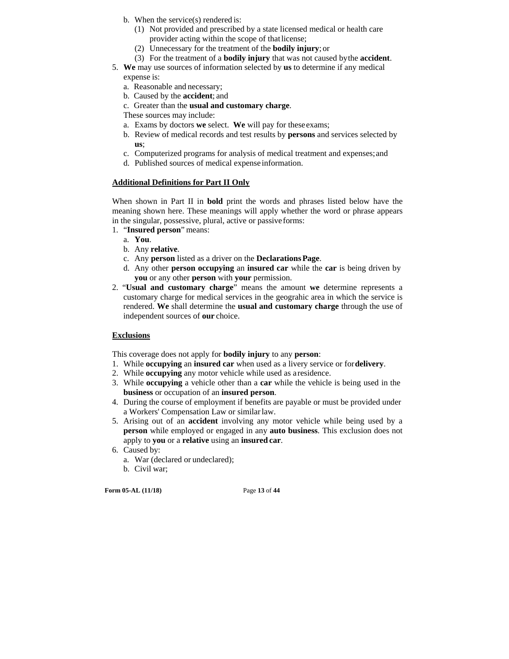- b. When the service(s) rendered is:
	- (1) Not provided and prescribed by a state licensed medical or health care provider acting within the scope of that license;
	- (2) Unnecessary for the treatment of the **bodily injury**; or
	- (3) For the treatment of a **bodily injury** that was not caused by the **accident**.
- 5. **We** may use sources of information selected by **us** to determine if any medical expense is:
	- a. Reasonable and necessary;
	- b. Caused by the **accident**; and
	- c. Greater than the **usual and customary charge**.
	- These sources may include:
	- a. Exams by doctors **we** select. **We** will pay for these exams;
	- b. Review of medical records and test results by **persons** and services selected by **us**;
	- c. Computerized programs for analysis of medical treatment and expenses; and
	- d. Published sources of medical expense information.

# **Additional Definitions for Part II Only**

When shown in Part II in **bold** print the words and phrases listed below have the meaning shown here. These meanings will apply whether the word or phrase appears in the singular, possessive, plural, active or passive forms:

- 1. "**Insured person**" means:
	- a. **You**.
	- b. Any **relative**.
	- c. Any **person** listed as a driver on the **Declarations Page**.
	- d. Any other **person occupying** an **insured car** while the **car** is being driven by **you** or any other **person** with **your** permission.
- 2. "**Usual and customary charge**" means the amount **we** determine represents a customary charge for medical services in the geograhic area in which the service is rendered. **We** shall determine the **usual and customary charge** through the use of independent sources of **our** choice.

#### **Exclusions**

This coverage does not apply for **bodily injury** to any **person**:

- 1. While **occupying** an **insured car** when used as a livery service or for **delivery**.
- 2. While **occupying** any motor vehicle while used as a residence.
- 3. While **occupying** a vehicle other than a **car** while the vehicle is being used in the **business** or occupation of an **insured person**.
- 4. During the course of employment if benefits are payable or must be provided under a Workers' Compensation Law or similar law.
- 5. Arising out of an **accident** involving any motor vehicle while being used by a **person** while employed or engaged in any **auto business**. This exclusion does not apply to **you** or a **relative** using an **insured car**.
- 6. Caused by:
	- a. War (declared or undeclared);
	- b. Civil war;

**Form 05-AL (11/18)** Page **13** of **44**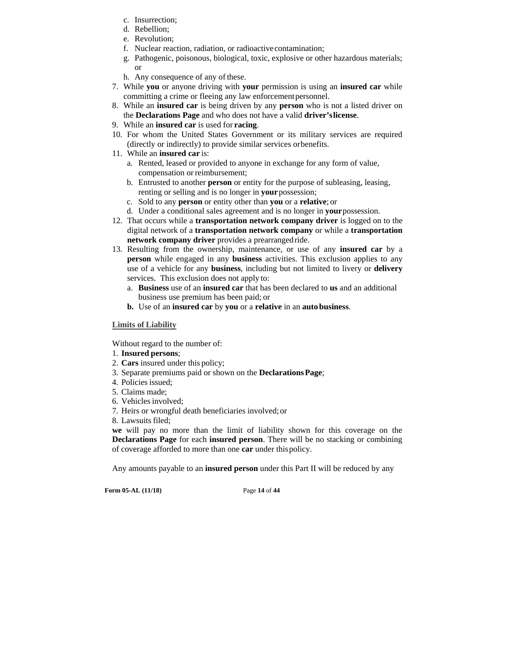- c. Insurrection;
- d. Rebellion;
- e. Revolution;
- f. Nuclear reaction, radiation, or radioactive contamination;
- g. Pathogenic, poisonous, biological, toxic, explosive or other hazardous materials; or
- h. Any consequence of any of these.
- 7. While **you** or anyone driving with **your** permission is using an **insured car** while committing a crime or fleeing any law enforcement personnel.
- 8. While an **insured car** is being driven by any **person** who is not a listed driver on the **Declarations Page** and who does not have a valid **driver's license**.
- 9. While an **insured car** is used for **racing**.
- 10. For whom the United States Government or its military services are required (directly or indirectly) to provide similar services or benefits.
- 11. While an **insured car** is:
	- a. Rented, leased or provided to anyone in exchange for any form of value, compensation or reimbursement;
	- b. Entrusted to another **person** or entity for the purpose of subleasing, leasing, renting or selling and is no longer in **your** possession;
	- c. Sold to any **person** or entity other than **you** or a **relative**; or
	- d. Under a conditional sales agreement and is no longer in **your** possession.
- 12. That occurs while a **transportation network company driver** is logged on to the digital network of a **transportation network company** or while a **transportation network company driver** provides a prearranged ride.
- 13. Resulting from the ownership, maintenance, or use of any **insured car** by a **person** while engaged in any **business** activities. This exclusion applies to any use of a vehicle for any **business**, including but not limited to livery or **delivery**  services. This exclusion does not apply to:
	- a. **Business** use of an **insured car** that has been declared to **us** and an additional business use premium has been paid; or
	- **b.** Use of an **insured car** by **you** or a **relative** in an **auto business**.

# **Limits of Liability**

Without regard to the number of:

- 1. **Insured persons**;
- 2. **Cars** insured under this policy;
- 3. Separate premiums paid or shown on the **Declarations Page**;
- 4. Policies issued;
- 5. Claims made;
- 6. Vehicles involved;
- 7. Heirs or wrongful death beneficiaries involved; or
- 8. Lawsuits filed;

**we** will pay no more than the limit of liability shown for this coverage on the **Declarations Page** for each **insured person**. There will be no stacking or combining of coverage afforded to more than one **car** under this policy.

Any amounts payable to an **insured person** under this Part II will be reduced by any

**Form 05-AL (11/18)** Page **14** of **44**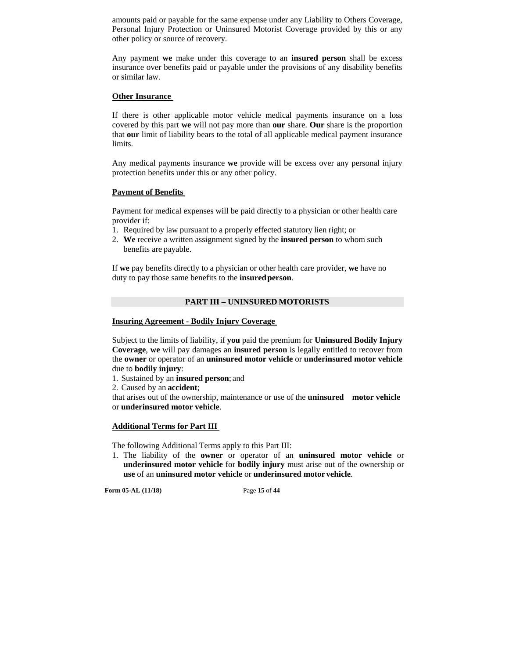amounts paid or payable for the same expense under any Liability to Others Coverage, Personal Injury Protection or Uninsured Motorist Coverage provided by this or any other policy or source of recovery.

Any payment **we** make under this coverage to an **insured person** shall be excess insurance over benefits paid or payable under the provisions of any disability benefits or similar law.

#### **Other Insurance**

If there is other applicable motor vehicle medical payments insurance on a loss covered by this part **we** will not pay more than **our** share. **Our** share is the proportion that **our** limit of liability bears to the total of all applicable medical payment insurance limits.

Any medical payments insurance **we** provide will be excess over any personal injury protection benefits under this or any other policy.

# **Payment of Benefits**

Payment for medical expenses will be paid directly to a physician or other health care provider if:

- 1. Required by law pursuant to a properly effected statutory lien right; or
- 2. **We** receive a written assignment signed by the **insured person** to whom such benefits are payable.

If **we** pay benefits directly to a physician or other health care provider, **we** have no duty to pay those same benefits to the **insured person**.

# **PART III – UNINSURED MOTORISTS**

# **Insuring Agreement - Bodily Injury Coverage**

Subject to the limits of liability, if **you** paid the premium for **Uninsured Bodily Injury Coverage**, **we** will pay damages an **insured person** is legally entitled to recover from the **owner** or operator of an **uninsured motor vehicle** or **underinsured motor vehicle**  due to **bodily injury**:

1. Sustained by an **insured person**; and

2. Caused by an **accident**;

that arises out of the ownership, maintenance or use of the **uninsured motor vehicle**  or **underinsured motor vehicle**.

#### **Additional Terms for Part III**

The following Additional Terms apply to this Part III:

1. The liability of the **owner** or operator of an **uninsured motor vehicle** or **underinsured motor vehicle** for **bodily injury** must arise out of the ownership or **use** of an **uninsured motor vehicle** or **underinsured motor vehicle**.

**Form 05-AL (11/18)** Page **15** of **44**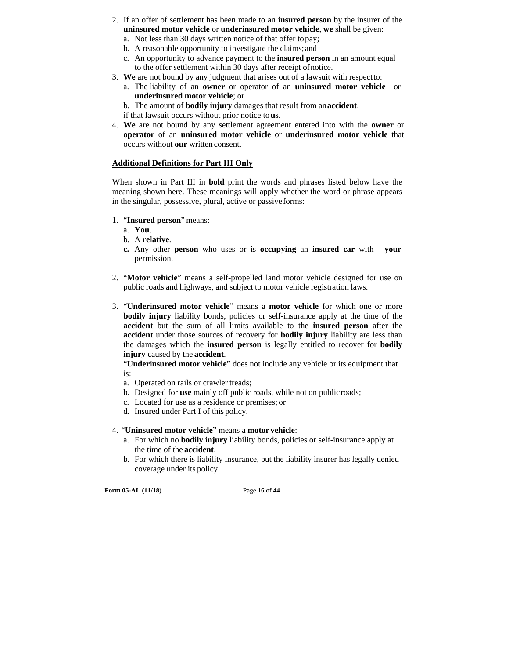- 2. If an offer of settlement has been made to an **insured person** by the insurer of the **uninsured motor vehicle** or **underinsured motor vehicle**, **we** shall be given:
	- a. Not less than 30 days written notice of that offer to pay; b. A reasonable opportunity to investigate the claims; and
	- c. An opportunity to advance payment to the **insured person** in an amount equal to the offer settlement within 30 days after receipt of notice.
- 3. **We** are not bound by any judgment that arises out of a lawsuit with respect to:
	- a. The liability of an **owner** or operator of an **uninsured motor vehicle** or **underinsured motor vehicle**; or

b. The amount of **bodily injury** damages that result from an **accident**.

- if that lawsuit occurs without prior notice to **us**.
- 4. **We** are not bound by any settlement agreement entered into with the **owner** or **operator** of an **uninsured motor vehicle** or **underinsured motor vehicle** that occurs without **our** written consent.

# **Additional Definitions for Part III Only**

When shown in Part III in **bold** print the words and phrases listed below have the meaning shown here. These meanings will apply whether the word or phrase appears in the singular, possessive, plural, active or passive forms:

- 1. "**Insured person**" means:
	- a. **You**.
	- b. A **relative**.
	- **c.** Any other **person** who uses or is **occupying** an **insured car** with **your**  permission.
- 2. "**Motor vehicle**" means a self-propelled land motor vehicle designed for use on public roads and highways, and subject to motor vehicle registration laws.
- 3. "**Underinsured motor vehicle**" means a **motor vehicle** for which one or more **bodily injury** liability bonds, policies or self-insurance apply at the time of the **accident** but the sum of all limits available to the **insured person** after the **accident** under those sources of recovery for **bodily injury** liability are less than the damages which the **insured person** is legally entitled to recover for **bodily injury** caused by the **accident**.

"**Underinsured motor vehicle**" does not include any vehicle or its equipment that is:

- a. Operated on rails or crawler treads;
- b. Designed for **use** mainly off public roads, while not on public roads;
- c. Located for use as a residence or premises; or
- d. Insured under Part I of this policy.
- 4. "**Uninsured motor vehicle**" means a **motor vehicle**:
	- a. For which no **bodily injury** liability bonds, policies or self-insurance apply at the time of the **accident**.
	- b. For which there is liability insurance, but the liability insurer has legally denied coverage under its policy.

**Form 05-AL (11/18)** Page **16** of **44**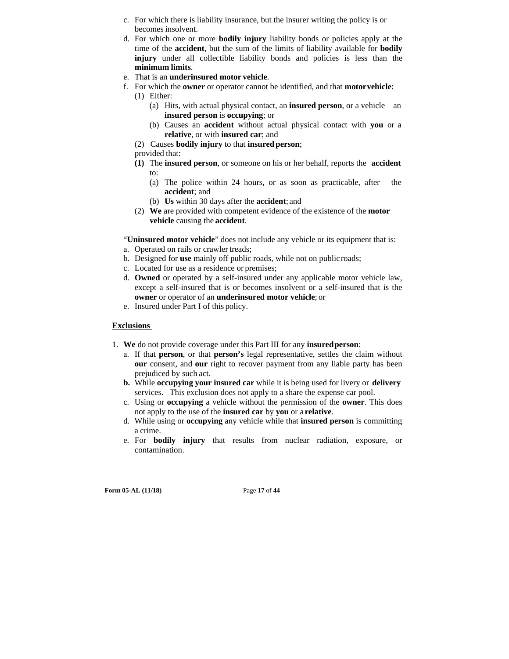- c. For which there is liability insurance, but the insurer writing the policy is or becomes insolvent.
- d. For which one or more **bodily injury** liability bonds or policies apply at the time of the **accident**, but the sum of the limits of liability available for **bodily injury** under all collectible liability bonds and policies is less than the **minimum limits**.
- e. That is an **underinsured motor vehicle**.
- f. For which the **owner** or operator cannot be identified, and that **motor vehicle**:
	- (1) Either: (a) Hits, with actual physical contact, an **insured person**, or a vehicle an **insured person** is **occupying**; or
		- (b) Causes an **accident** without actual physical contact with **you** or a **relative**, or with **insured car**; and
	- (2) Causes **bodily injury** to that **insured person**;
	- provided that:
	- **(1)** The **insured person**, or someone on his or her behalf, reports the **accident**  to:
		- (a) The police within 24 hours, or as soon as practicable, after the **accident**; and
		- (b) **Us** within 30 days after the **accident**; and
	- (2) **We** are provided with competent evidence of the existence of the **motor vehicle** causing the **accident**.

"**Uninsured motor vehicle**" does not include any vehicle or its equipment that is:

- a. Operated on rails or crawler treads;
- b. Designed for **use** mainly off public roads, while not on public roads;
- c. Located for use as a residence or premises;
- d. **Owned** or operated by a self-insured under any applicable motor vehicle law, except a self-insured that is or becomes insolvent or a self-insured that is the **owner** or operator of an **underinsured motor vehicle**; or
- e. Insured under Part I of this policy.

## **Exclusions**

- 1. **We** do not provide coverage under this Part III for any **insured person**:
	- a. If that **person**, or that **person's** legal representative, settles the claim without **our** consent, and **our** right to recover payment from any liable party has been prejudiced by such act.
	- **b.** While **occupying your insured car** while it is being used for livery or **delivery**  services. This exclusion does not apply to a share the expense car pool.
	- c. Using or **occupying** a vehicle without the permission of the **owner**. This does not apply to the use of the **insured car** by **you** or a **relative**.
	- d. While using or **occupying** any vehicle while that **insured person** is committing a crime.
	- e. For **bodily injury** that results from nuclear radiation, exposure, or contamination.

**Form 05-AL (11/18)** Page **17** of **44**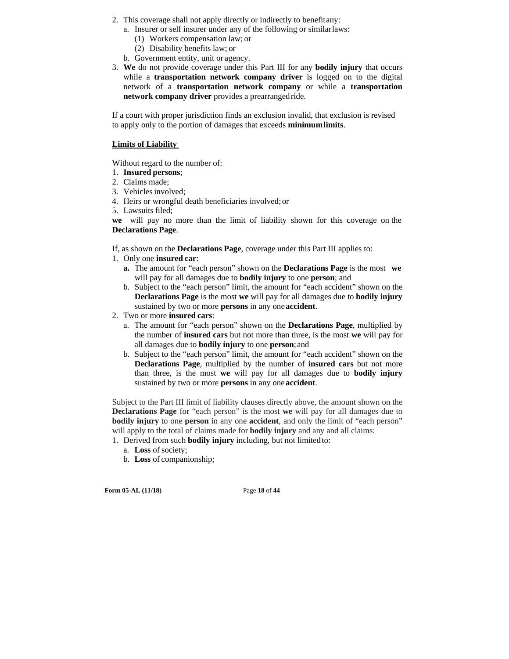- 2. This coverage shall not apply directly or indirectly to benefit any:
	- a. Insurer or self insurer under any of the following or similar laws:
		- (1) Workers compensation law; or
		- (2) Disability benefits law; or
	- b. Government entity, unit or agency.
- 3. **We** do not provide coverage under this Part III for any **bodily injury** that occurs while a **transportation network company driver** is logged on to the digital network of a **transportation network company** or while a **transportation network company driver** provides a prearranged ride.

If a court with proper jurisdiction finds an exclusion invalid, that exclusion is revised to apply only to the portion of damages that exceeds **minimum limits**.

#### **Limits of Liability**

Without regard to the number of:

- 1. **Insured persons**;
- 2. Claims made;
- 3. Vehicles involved;
- 4. Heirs or wrongful death beneficiaries involved; or
- 5. Lawsuits filed;

**we** will pay no more than the limit of liability shown for this coverage on the **Declarations Page**.

If, as shown on the **Declarations Page**, coverage under this Part III applies to:

- 1. Only one **insured car**:
	- **a.** The amount for "each person" shown on the **Declarations Page** is the most **we**  will pay for all damages due to **bodily injury** to one **person**; and
	- b. Subject to the "each person" limit, the amount for "each accident" shown on the **Declarations Page** is the most **we** will pay for all damages due to **bodily injury**  sustained by two or more **persons** in any one **accident**.
- 2. Two or more **insured cars**:
	- a. The amount for "each person" shown on the **Declarations Page**, multiplied by the number of **insured cars** but not more than three, is the most **we** will pay for all damages due to **bodily injury** to one **person**; and
	- b. Subject to the "each person" limit, the amount for "each accident" shown on the **Declarations Page**, multiplied by the number of **insured cars** but not more than three, is the most **we** will pay for all damages due to **bodily injury**  sustained by two or more **persons** in any one **accident**.

Subject to the Part III limit of liability clauses directly above, the amount shown on the **Declarations Page** for "each person" is the most **we** will pay for all damages due to **bodily injury** to one **person** in any one **accident**, and only the limit of "each person" will apply to the total of claims made for **bodily injury** and any and all claims:

1. Derived from such **bodily injury** including, but not limited to:

- a. **Loss** of society;
- b. **Loss** of companionship;

**Form 05-AL (11/18)** Page **18** of **44**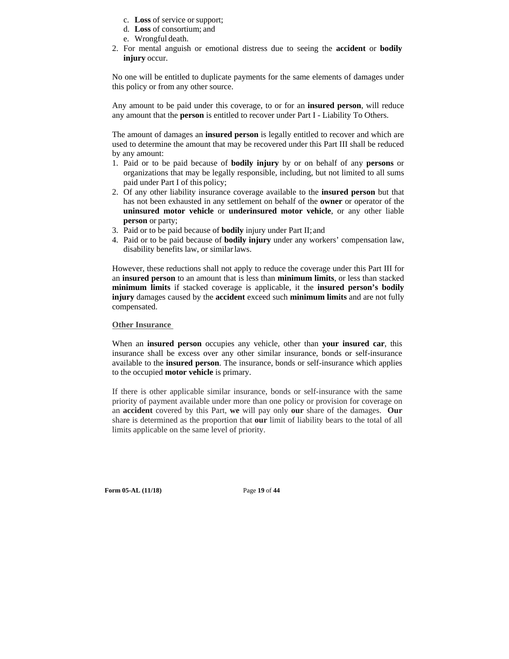- c. **Loss** of service or support;
- d. **Loss** of consortium; and
- e. Wrongful death.
- 2. For mental anguish or emotional distress due to seeing the **accident** or **bodily injury** occur.

No one will be entitled to duplicate payments for the same elements of damages under this policy or from any other source.

Any amount to be paid under this coverage, to or for an **insured person**, will reduce any amount that the **person** is entitled to recover under Part I - Liability To Others.

The amount of damages an **insured person** is legally entitled to recover and which are used to determine the amount that may be recovered under this Part III shall be reduced by any amount:

- 1. Paid or to be paid because of **bodily injury** by or on behalf of any **persons** or organizations that may be legally responsible, including, but not limited to all sums paid under Part I of this policy;
- 2. Of any other liability insurance coverage available to the **insured person** but that has not been exhausted in any settlement on behalf of the **owner** or operator of the **uninsured motor vehicle** or **underinsured motor vehicle**, or any other liable **person** or party;
- 3. Paid or to be paid because of **bodily** injury under Part II; and
- 4. Paid or to be paid because of **bodily injury** under any workers' compensation law, disability benefits law, or similar laws.

However, these reductions shall not apply to reduce the coverage under this Part III for an **insured person** to an amount that is less than **minimum limits**, or less than stacked **minimum limits** if stacked coverage is applicable, it the **insured person's bodily injury** damages caused by the **accident** exceed such **minimum limits** and are not fully compensated.

#### **Other Insurance**

When an **insured person** occupies any vehicle, other than **your insured car**, this insurance shall be excess over any other similar insurance, bonds or self-insurance available to the **insured person**. The insurance, bonds or self-insurance which applies to the occupied **motor vehicle** is primary.

If there is other applicable similar insurance, bonds or self-insurance with the same priority of payment available under more than one policy or provision for coverage on an **accident** covered by this Part, **we** will pay only **our** share of the damages. **Our**  share is determined as the proportion that **our** limit of liability bears to the total of all limits applicable on the same level of priority.

**Form 05-AL (11/18)** Page **19** of **44**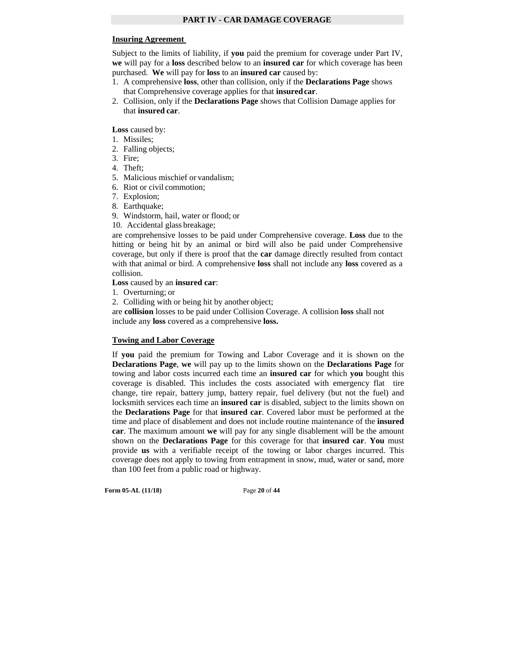# **Insuring Agreement**

Subject to the limits of liability, if **you** paid the premium for coverage under Part IV, **we** will pay for a **loss** described below to an **insured car** for which coverage has been purchased. **We** will pay for **loss** to an **insured car** caused by:

- 1. A comprehensive **loss**, other than collision, only if the **Declarations Page** shows that Comprehensive coverage applies for that **insured car**.
- 2. Collision, only if the **Declarations Page** shows that Collision Damage applies for that **insured car**.

Loss caused by:

- 1. Missiles;
- 2. Falling objects;
- 3. Fire;
- 4. Theft;
- 5. Malicious mischief or vandalism;
- 6. Riot or civil commotion;
- 7. Explosion;
- 8. Earthquake;
- 9. Windstorm, hail, water or flood; or
- 10. Accidental glass breakage;

are comprehensive losses to be paid under Comprehensive coverage. **Loss** due to the hitting or being hit by an animal or bird will also be paid under Comprehensive coverage, but only if there is proof that the **car** damage directly resulted from contact with that animal or bird. A comprehensive **loss** shall not include any **loss** covered as a collision.

**Loss** caused by an **insured car**:

1. Overturning; or

2. Colliding with or being hit by another object;

are **collision** losses to be paid under Collision Coverage. A collision **loss** shall not include any **loss** covered as a comprehensive **loss.** 

#### **Towing and Labor Coverage**

If **you** paid the premium for Towing and Labor Coverage and it is shown on the **Declarations Page**, **we** will pay up to the limits shown on the **Declarations Page** for towing and labor costs incurred each time an **insured car** for which **you** bought this coverage is disabled. This includes the costs associated with emergency flat tire change, tire repair, battery jump, battery repair, fuel delivery (but not the fuel) and locksmith services each time an **insured car** is disabled, subject to the limits shown on the **Declarations Page** for that **insured car**. Covered labor must be performed at the time and place of disablement and does not include routine maintenance of the **insured car**. The maximum amount **we** will pay for any single disablement will be the amount shown on the **Declarations Page** for this coverage for that **insured car**. **You** must provide **us** with a verifiable receipt of the towing or labor charges incurred. This coverage does not apply to towing from entrapment in snow, mud, water or sand, more than 100 feet from a public road or highway.

**Form 05-AL (11/18)** Page **20** of **44**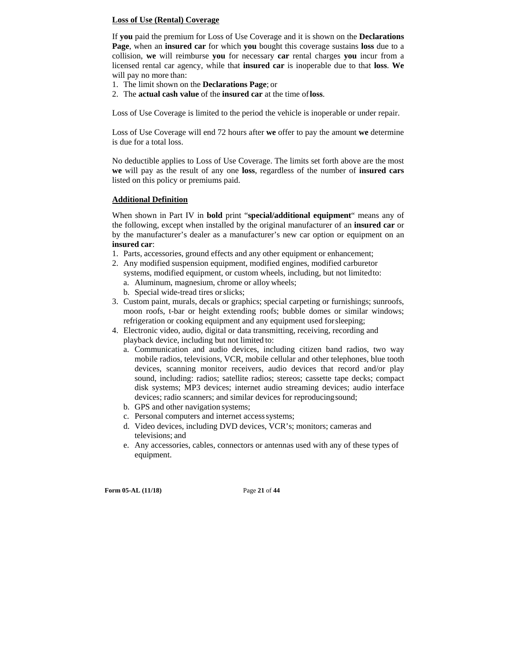## **Loss of Use (Rental) Coverage**

If **you** paid the premium for Loss of Use Coverage and it is shown on the **Declarations Page**, when an **insured car** for which **you** bought this coverage sustains **loss** due to a collision, **we** will reimburse **you** for necessary **car** rental charges **you** incur from a licensed rental car agency, while that **insured car** is inoperable due to that **loss**. **We**  will pay no more than:

- 1. The limit shown on the **Declarations Page**; or
- 2. The **actual cash value** of the **insured car** at the time of **loss**.

Loss of Use Coverage is limited to the period the vehicle is inoperable or under repair.

Loss of Use Coverage will end 72 hours after **we** offer to pay the amount **we** determine is due for a total loss.

No deductible applies to Loss of Use Coverage. The limits set forth above are the most **we** will pay as the result of any one **loss**, regardless of the number of **insured cars**  listed on this policy or premiums paid.

# **Additional Definition**

When shown in Part IV in **bold** print "**special/additional equipment**" means any of the following, except when installed by the original manufacturer of an **insured car** or by the manufacturer's dealer as a manufacturer's new car option or equipment on an **insured car**:

- 1. Parts, accessories, ground effects and any other equipment or enhancement;
- 2. Any modified suspension equipment, modified engines, modified carburetor systems, modified equipment, or custom wheels, including, but not limited to: a. Aluminum, magnesium, chrome or alloy wheels; b. Special wide-tread tires or slicks;
- 3. Custom paint, murals, decals or graphics; special carpeting or furnishings; sunroofs, moon roofs, t-bar or height extending roofs; bubble domes or similar windows; refrigeration or cooking equipment and any equipment used for sleeping;
- 4. Electronic video, audio, digital or data transmitting, receiving, recording and playback device, including but not limited to:
	- a. Communication and audio devices, including citizen band radios, two way mobile radios, televisions, VCR, mobile cellular and other telephones, blue tooth devices, scanning monitor receivers, audio devices that record and/or play sound, including: radios; satellite radios; stereos; cassette tape decks; compact disk systems; MP3 devices; internet audio streaming devices; audio interface devices; radio scanners; and similar devices for reproducing sound;
	- b. GPS and other navigation systems;
	- c. Personal computers and internet access systems;
	- d. Video devices, including DVD devices, VCR's; monitors; cameras and televisions; and
	- e. Any accessories, cables, connectors or antennas used with any of these types of equipment.

**Form 05-AL (11/18)** Page **21** of **44**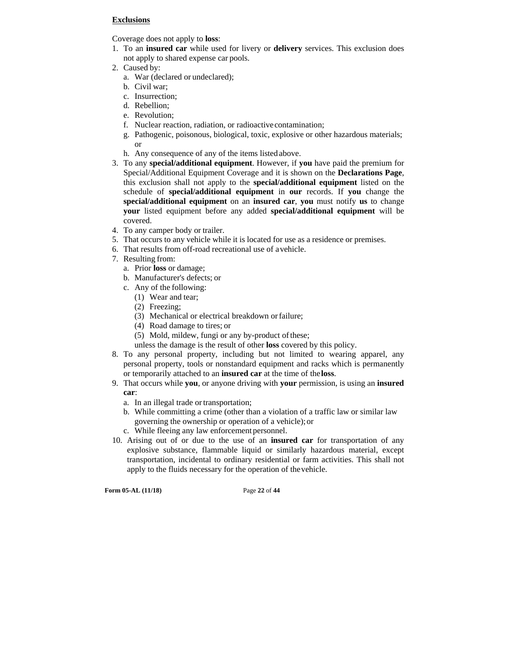#### **Exclusions**

Coverage does not apply to **loss**:

- 1. To an **insured car** while used for livery or **delivery** services. This exclusion does not apply to shared expense car pools.
- 2. Caused by:
	- a. War (declared or undeclared);
	- b. Civil war;
	- c. Insurrection;
	- d. Rebellion;
	- e. Revolution;
	- f. Nuclear reaction, radiation, or radioactive contamination;
	- g. Pathogenic, poisonous, biological, toxic, explosive or other hazardous materials; or
	- h. Any consequence of any of the items listed above.
- 3. To any **special/additional equipment**. However, if **you** have paid the premium for Special/Additional Equipment Coverage and it is shown on the **Declarations Page**, this exclusion shall not apply to the **special/additional equipment** listed on the schedule of **special/additional equipment** in **our** records. If **you** change the **special/additional equipment** on an **insured car**, **you** must notify **us** to change **your** listed equipment before any added **special/additional equipment** will be covered.
- 4. To any camper body or trailer.
- 5. That occurs to any vehicle while it is located for use as a residence or premises.
- 6. That results from off-road recreational use of a vehicle.
- 7. Resulting from:
	- a. Prior **loss** or damage;
	- b. Manufacturer's defects; or
	- c. Any of the following:
		- (1) Wear and tear;
		- (2) Freezing;
		- (3) Mechanical or electrical breakdown or failure;
		- (4) Road damage to tires; or
		- (5) Mold, mildew, fungi or any by-product of these;
		- unless the damage is the result of other **loss** covered by this policy.
- 8. To any personal property, including but not limited to wearing apparel, any personal property, tools or nonstandard equipment and racks which is permanently or temporarily attached to an **insured car** at the time of the **loss**.
- 9. That occurs while **you**, or anyone driving with **your** permission, is using an **insured car**:
	- a. In an illegal trade or transportation;
	- b. While committing a crime (other than a violation of a traffic law or similar law governing the ownership or operation of a vehicle); or
	- c. While fleeing any law enforcement personnel.
- 10. Arising out of or due to the use of an **insured car** for transportation of any explosive substance, flammable liquid or similarly hazardous material, except transportation, incidental to ordinary residential or farm activities. This shall not apply to the fluids necessary for the operation of the vehicle.

**Form 05-AL (11/18)** Page **22** of **44**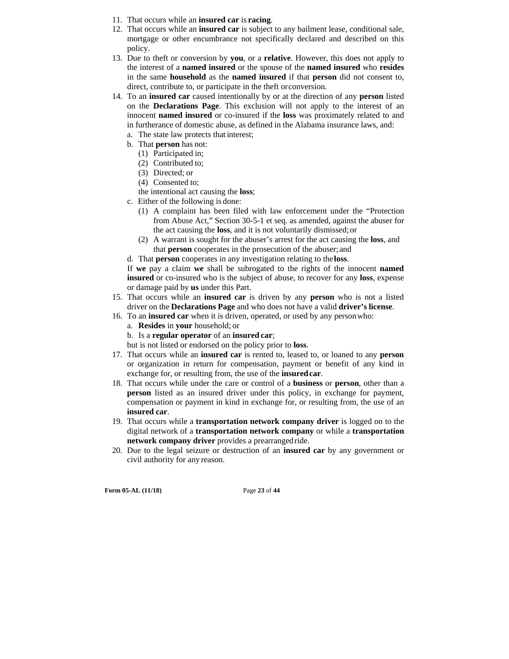- 11. That occurs while an **insured car** is **racing**.
- 12. That occurs while an **insured car** is subject to any bailment lease, conditional sale, mortgage or other encumbrance not specifically declared and described on this policy.
- 13. Due to theft or conversion by **you**, or a **relative**. However, this does not apply to the interest of a **named insured** or the spouse of the **named insured** who **resides**  in the same **household** as the **named insured** if that **person** did not consent to, direct, contribute to, or participate in the theft or conversion.
- 14. To an **insured car** caused intentionally by or at the direction of any **person** listed on the **Declarations Page**. This exclusion will not apply to the interest of an innocent **named insured** or co-insured if the **loss** was proximately related to and in furtherance of domestic abuse, as defined in the Alabama insurance laws, and:
	- a. The state law protects that interest;
	- b. That **person** has not:
		- (1) Participated in;
		- (2) Contributed to;
		- (3) Directed; or
		- (4) Consented to;
		- the intentional act causing the **loss**;
	- c. Either of the following is done:
		- (1) A complaint has been filed with law enforcement under the "Protection from Abuse Act," Section 30-5-1 et seq. as amended, against the abuser for the act causing the **loss**, and it is not voluntarily dismissed; or
		- (2) A warrant is sought for the abuser's arrest for the act causing the **loss**, and that **person** cooperates in the prosecution of the abuser; and
	- d. That **person** cooperates in any investigation relating to the **loss**.

If **we** pay a claim **we** shall be subrogated to the rights of the innocent **named insured** or co-insured who is the subject of abuse, to recover for any **loss**, expense or damage paid by **us** under this Part.

- 15. That occurs while an **insured car** is driven by any **person** who is not a listed driver on the **Declarations Page** and who does not have a valid **driver's license**.
- 16. To an **insured car** when it is driven, operated, or used by any person who:
	- a. **Resides** in **your** household; or
	- b. Is a **regular operator** of an **insured car**;

but is not listed or endorsed on the policy prior to **loss**.

- 17. That occurs while an **insured car** is rented to, leased to, or loaned to any **person**  or organization in return for compensation, payment or benefit of any kind in exchange for, or resulting from, the use of the **insured car**.
- 18. That occurs while under the care or control of a **business** or **person**, other than a **person** listed as an insured driver under this policy, in exchange for payment, compensation or payment in kind in exchange for, or resulting from, the use of an **insured car**.
- 19. That occurs while a **transportation network company driver** is logged on to the digital network of a **transportation network company** or while a **transportation network company driver** provides a prearranged ride.
- 20. Due to the legal seizure or destruction of an **insured car** by any government or civil authority for any reason.

**Form 05-AL (11/18)** Page **23** of **44**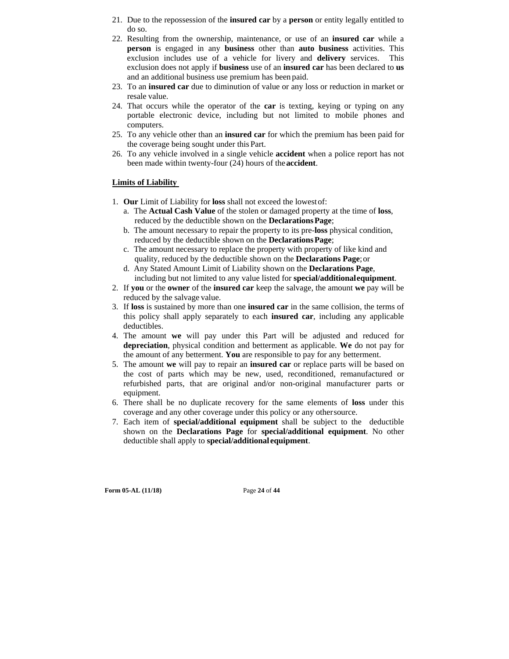- 21. Due to the repossession of the **insured car** by a **person** or entity legally entitled to do so.
- 22. Resulting from the ownership, maintenance, or use of an **insured car** while a **person** is engaged in any **business** other than **auto business** activities. This exclusion includes use of a vehicle for livery and **delivery** services. This exclusion does not apply if **business** use of an **insured car** has been declared to **us**  and an additional business use premium has been paid.
- 23. To an **insured car** due to diminution of value or any loss or reduction in market or resale value.
- 24. That occurs while the operator of the **car** is texting, keying or typing on any portable electronic device, including but not limited to mobile phones and computers.
- 25. To any vehicle other than an **insured car** for which the premium has been paid for the coverage being sought under this Part.
- 26. To any vehicle involved in a single vehicle **accident** when a police report has not been made within twenty-four (24) hours of the **accident**.

# **Limits of Liability**

- 1. **Our** Limit of Liability for **loss** shall not exceed the lowest of:
	- a. The **Actual Cash Value** of the stolen or damaged property at the time of **loss**, reduced by the deductible shown on the **Declarations Page**;
	- b. The amount necessary to repair the property to its pre-**loss** physical condition, reduced by the deductible shown on the **Declarations Page**;
	- c. The amount necessary to replace the property with property of like kind and quality, reduced by the deductible shown on the **Declarations Page**; or
	- d. Any Stated Amount Limit of Liability shown on the **Declarations Page**, including but not limited to any value listed for **special/additional equipment**.
- 2. If **you** or the **owner** of the **insured car** keep the salvage, the amount **we** pay will be reduced by the salvage value.
- 3. If **loss** is sustained by more than one **insured car** in the same collision, the terms of this policy shall apply separately to each **insured car**, including any applicable deductibles.
- 4. The amount **we** will pay under this Part will be adjusted and reduced for **depreciation**, physical condition and betterment as applicable. **We** do not pay for the amount of any betterment. **You** are responsible to pay for any betterment.
- 5. The amount **we** will pay to repair an **insured car** or replace parts will be based on the cost of parts which may be new, used, reconditioned, remanufactured or refurbished parts, that are original and/or non-original manufacturer parts or equipment.
- 6. There shall be no duplicate recovery for the same elements of **loss** under this coverage and any other coverage under this policy or any other source.
- 7. Each item of **special/additional equipment** shall be subject to the deductible shown on the **Declarations Page** for **special/additional equipment**. No other deductible shall apply to **special/additional equipment**.

**Form 05-AL (11/18)** Page **24** of **44**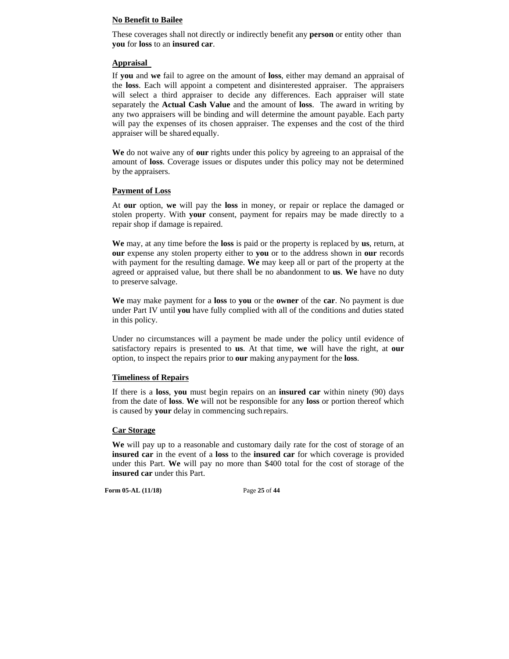# **No Benefit to Bailee**

These coverages shall not directly or indirectly benefit any **person** or entity other than **you** for **loss** to an **insured car**.

# **Appraisal**

If **you** and **we** fail to agree on the amount of **loss**, either may demand an appraisal of the **loss**. Each will appoint a competent and disinterested appraiser. The appraisers will select a third appraiser to decide any differences. Each appraiser will state separately the **Actual Cash Value** and the amount of **loss**. The award in writing by any two appraisers will be binding and will determine the amount payable. Each party will pay the expenses of its chosen appraiser. The expenses and the cost of the third appraiser will be shared equally.

**We** do not waive any of **our** rights under this policy by agreeing to an appraisal of the amount of **loss**. Coverage issues or disputes under this policy may not be determined by the appraisers.

# **Payment of Loss**

At **our** option, **we** will pay the **loss** in money, or repair or replace the damaged or stolen property. With **your** consent, payment for repairs may be made directly to a repair shop if damage is repaired.

**We** may, at any time before the **loss** is paid or the property is replaced by **us**, return, at **our** expense any stolen property either to **you** or to the address shown in **our** records with payment for the resulting damage. **We** may keep all or part of the property at the agreed or appraised value, but there shall be no abandonment to **us**. **We** have no duty to preserve salvage.

**We** may make payment for a **loss** to **you** or the **owner** of the **car**. No payment is due under Part IV until **you** have fully complied with all of the conditions and duties stated in this policy.

Under no circumstances will a payment be made under the policy until evidence of satisfactory repairs is presented to **us**. At that time, **we** will have the right, at **our**  option, to inspect the repairs prior to **our** making any payment for the **loss**.

#### **Timeliness of Repairs**

If there is a **loss**, **you** must begin repairs on an **insured car** within ninety (90) days from the date of **loss**. **We** will not be responsible for any **loss** or portion thereof which is caused by **your** delay in commencing such repairs.

#### **Car Storage**

**We** will pay up to a reasonable and customary daily rate for the cost of storage of an **insured car** in the event of a **loss** to the **insured car** for which coverage is provided under this Part. **We** will pay no more than \$400 total for the cost of storage of the **insured car** under this Part.

**Form 05-AL (11/18)** Page **25** of **44**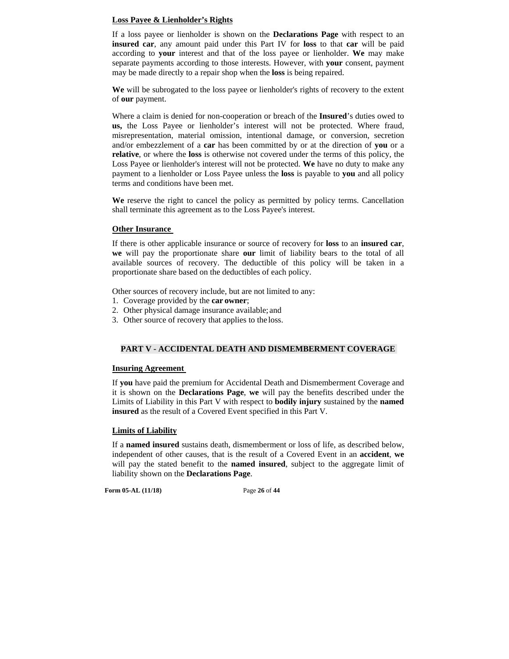# **Loss Payee & Lienholder's Rights**

If a loss payee or lienholder is shown on the **Declarations Page** with respect to an **insured car**, any amount paid under this Part IV for **loss** to that **car** will be paid according to **your** interest and that of the loss payee or lienholder. **We** may make separate payments according to those interests. However, with **your** consent, payment may be made directly to a repair shop when the **loss** is being repaired.

**We** will be subrogated to the loss payee or lienholder's rights of recovery to the extent of **our** payment.

Where a claim is denied for non-cooperation or breach of the **Insured**'s duties owed to **us,** the Loss Payee or lienholder's interest will not be protected. Where fraud, misrepresentation, material omission, intentional damage, or conversion, secretion and/or embezzlement of a **car** has been committed by or at the direction of **you** or a **relative**, or where the **loss** is otherwise not covered under the terms of this policy, the Loss Payee or lienholder's interest will not be protected. **We** have no duty to make any payment to a lienholder or Loss Payee unless the **loss** is payable to **you** and all policy terms and conditions have been met.

**We** reserve the right to cancel the policy as permitted by policy terms. Cancellation shall terminate this agreement as to the Loss Payee's interest.

#### **Other Insurance**

If there is other applicable insurance or source of recovery for **loss** to an **insured car**, **we** will pay the proportionate share **our** limit of liability bears to the total of all available sources of recovery. The deductible of this policy will be taken in a proportionate share based on the deductibles of each policy.

Other sources of recovery include, but are not limited to any:

- 1. Coverage provided by the **car owner**;
- 2. Other physical damage insurance available; and
- 3. Other source of recovery that applies to the loss.

#### **PART V - ACCIDENTAL DEATH AND DISMEMBERMENT COVERAGE**

#### **Insuring Agreement**

If **you** have paid the premium for Accidental Death and Dismemberment Coverage and it is shown on the **Declarations Page**, **we** will pay the benefits described under the Limits of Liability in this Part V with respect to **bodily injury** sustained by the **named insured** as the result of a Covered Event specified in this Part V.

#### **Limits of Liability**

If a **named insured** sustains death, dismemberment or loss of life, as described below, independent of other causes, that is the result of a Covered Event in an **accident**, **we**  will pay the stated benefit to the **named insured**, subject to the aggregate limit of liability shown on the **Declarations Page**.

**Form 05-AL (11/18)** Page **26** of **44**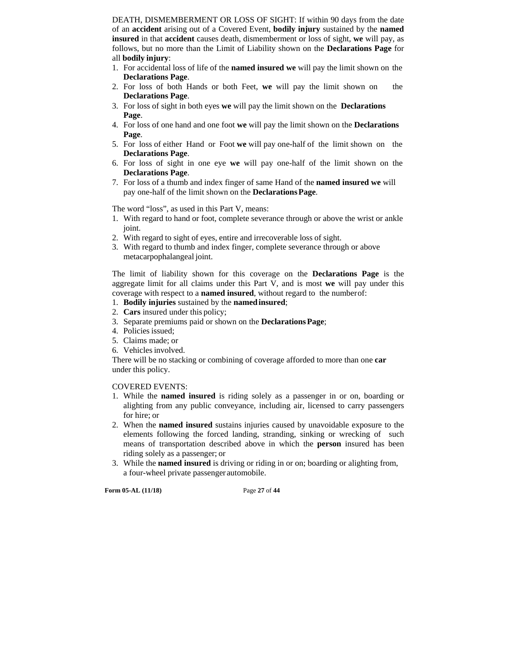DEATH, DISMEMBERMENT OR LOSS OF SIGHT: If within 90 days from the date of an **accident** arising out of a Covered Event, **bodily injury** sustained by the **named insured** in that **accident** causes death, dismemberment or loss of sight, **we** will pay, as follows, but no more than the Limit of Liability shown on the **Declarations Page** for all **bodily injury**:

- 1. For accidental loss of life of the **named insured we** will pay the limit shown on the **Declarations Page**.
- 2. For loss of both Hands or both Feet, **we** will pay the limit shown on the **Declarations Page**.
- 3. For loss of sight in both eyes **we** will pay the limit shown on the **Declarations Page**.
- 4. For loss of one hand and one foot **we** will pay the limit shown on the **Declarations Page**.
- 5. For loss of either Hand or Foot **we** will pay one-half of the limit shown on the **Declarations Page**.
- 6. For loss of sight in one eye **we** will pay one-half of the limit shown on the **Declarations Page**.
- 7. For loss of a thumb and index finger of same Hand of the **named insured we** will pay one-half of the limit shown on the **Declarations Page**.

The word "loss", as used in this Part V, means:

- 1. With regard to hand or foot, complete severance through or above the wrist or ankle joint.
- 2. With regard to sight of eyes, entire and irrecoverable loss of sight.
- 3. With regard to thumb and index finger, complete severance through or above metacarpophalangeal joint.

The limit of liability shown for this coverage on the **Declarations Page** is the aggregate limit for all claims under this Part V, and is most **we** will pay under this coverage with respect to a **named insured**, without regard to the number of:

- 1. **Bodily injuries** sustained by the **named insured**;
- 2. **Cars** insured under this policy;
- 3. Separate premiums paid or shown on the **Declarations Page**;
- 4. Policies issued;
- 5. Claims made; or
- 6. Vehicles involved.

There will be no stacking or combining of coverage afforded to more than one **car**  under this policy.

#### COVERED EVENTS:

- 1. While the **named insured** is riding solely as a passenger in or on, boarding or alighting from any public conveyance, including air, licensed to carry passengers for hire; or
- 2. When the **named insured** sustains injuries caused by unavoidable exposure to the elements following the forced landing, stranding, sinking or wrecking of such means of transportation described above in which the **person** insured has been riding solely as a passenger; or
- 3. While the **named insured** is driving or riding in or on; boarding or alighting from, a four-wheel private passenger automobile.

**Form 05-AL (11/18)** Page **27** of **44**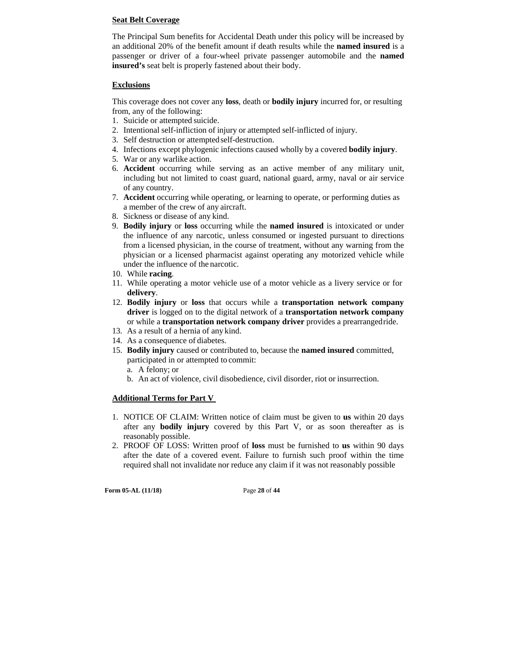## **Seat Belt Coverage**

The Principal Sum benefits for Accidental Death under this policy will be increased by an additional 20% of the benefit amount if death results while the **named insured** is a passenger or driver of a four-wheel private passenger automobile and the **named insured's** seat belt is properly fastened about their body.

# **Exclusions**

This coverage does not cover any **loss**, death or **bodily injury** incurred for, or resulting from, any of the following:

- 1. Suicide or attempted suicide.
- 2. Intentional self-infliction of injury or attempted self-inflicted of injury.
- 3. Self destruction or attempted self-destruction.
- 4. Infections except phylogenic infections caused wholly by a covered **bodily injury**.
- 5. War or any warlike action.
- 6. **Accident** occurring while serving as an active member of any military unit, including but not limited to coast guard, national guard, army, naval or air service of any country.
- 7. **Accident** occurring while operating, or learning to operate, or performing duties as a member of the crew of any aircraft.
- 8. Sickness or disease of any kind.
- 9. **Bodily injury** or **loss** occurring while the **named insured** is intoxicated or under the influence of any narcotic, unless consumed or ingested pursuant to directions from a licensed physician, in the course of treatment, without any warning from the physician or a licensed pharmacist against operating any motorized vehicle while under the influence of the narcotic.
- 10. While **racing**.
- 11. While operating a motor vehicle use of a motor vehicle as a livery service or for **delivery**.
- 12. **Bodily injury** or **loss** that occurs while a **transportation network company driver** is logged on to the digital network of a **transportation network company**  or while a **transportation network company driver** provides a prearranged ride.
- 13. As a result of a hernia of any kind.
- 14. As a consequence of diabetes.
- 15. **Bodily injury** caused or contributed to, because the **named insured** committed, participated in or attempted to commit:
	- a. A felony; or
	- b. An act of violence, civil disobedience, civil disorder, riot or insurrection.

# **Additional Terms for Part V**

- 1. NOTICE OF CLAIM: Written notice of claim must be given to **us** within 20 days after any **bodily injury** covered by this Part V, or as soon thereafter as is reasonably possible.
- 2. PROOF OF LOSS: Written proof of **loss** must be furnished to **us** within 90 days after the date of a covered event. Failure to furnish such proof within the time required shall not invalidate nor reduce any claim if it was not reasonably possible

**Form 05-AL (11/18)** Page **28** of **44**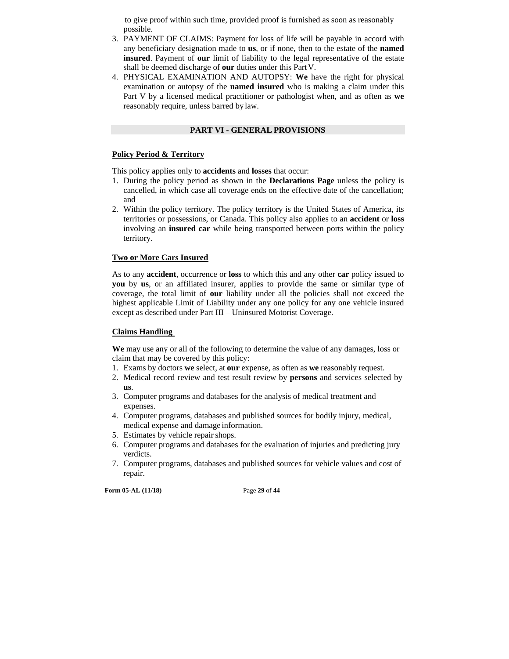to give proof within such time, provided proof is furnished as soon as reasonably possible.

- 3. PAYMENT OF CLAIMS: Payment for loss of life will be payable in accord with any beneficiary designation made to **us**, or if none, then to the estate of the **named insured**. Payment of **our** limit of liability to the legal representative of the estate shall be deemed discharge of **our** duties under this Part V.
- 4. PHYSICAL EXAMINATION AND AUTOPSY: **We** have the right for physical examination or autopsy of the **named insured** who is making a claim under this Part V by a licensed medical practitioner or pathologist when, and as often as **we**  reasonably require, unless barred by law.

## **PART VI - GENERAL PROVISIONS**

## **Policy Period & Territory**

This policy applies only to **accidents** and **losses** that occur:

- 1. During the policy period as shown in the **Declarations Page** unless the policy is cancelled, in which case all coverage ends on the effective date of the cancellation; and
- 2. Within the policy territory. The policy territory is the United States of America, its territories or possessions, or Canada. This policy also applies to an **accident** or **loss**  involving an **insured car** while being transported between ports within the policy territory.

# **Two or More Cars Insured**

As to any **accident**, occurrence or **loss** to which this and any other **car** policy issued to **you** by **us**, or an affiliated insurer, applies to provide the same or similar type of coverage, the total limit of **our** liability under all the policies shall not exceed the highest applicable Limit of Liability under any one policy for any one vehicle insured except as described under Part III – Uninsured Motorist Coverage.

# **Claims Handling**

**We** may use any or all of the following to determine the value of any damages, loss or claim that may be covered by this policy:

- 1. Exams by doctors **we** select, at **our** expense, as often as **we** reasonably request.
- 2. Medical record review and test result review by **persons** and services selected by **us**.
- 3. Computer programs and databases for the analysis of medical treatment and expenses.
- 4. Computer programs, databases and published sources for bodily injury, medical, medical expense and damage information.
- 5. Estimates by vehicle repair shops.
- 6. Computer programs and databases for the evaluation of injuries and predicting jury verdicts.
- 7. Computer programs, databases and published sources for vehicle values and cost of repair.

**Form 05-AL (11/18)** Page **29** of **44**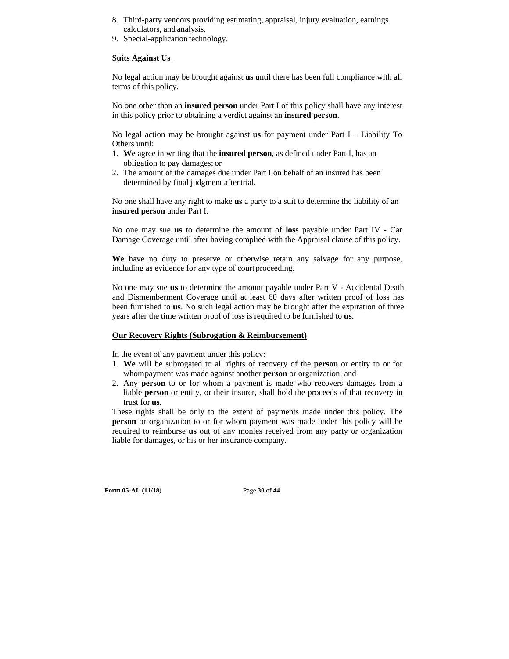- 8. Third-party vendors providing estimating, appraisal, injury evaluation, earnings calculators, and analysis.
- 9. Special-application technology.

#### **Suits Against Us**

No legal action may be brought against **us** until there has been full compliance with all terms of this policy.

No one other than an **insured person** under Part I of this policy shall have any interest in this policy prior to obtaining a verdict against an **insured person**.

No legal action may be brought against **us** for payment under Part I – Liability To Others until:

- 1. **We** agree in writing that the **insured person**, as defined under Part I, has an obligation to pay damages; or
- 2. The amount of the damages due under Part I on behalf of an insured has been determined by final judgment after trial.

No one shall have any right to make **us** a party to a suit to determine the liability of an **insured person** under Part I.

No one may sue **us** to determine the amount of **loss** payable under Part IV - Car Damage Coverage until after having complied with the Appraisal clause of this policy.

**We** have no duty to preserve or otherwise retain any salvage for any purpose, including as evidence for any type of court proceeding.

No one may sue **us** to determine the amount payable under Part V - Accidental Death and Dismemberment Coverage until at least 60 days after written proof of loss has been furnished to **us**. No such legal action may be brought after the expiration of three years after the time written proof of loss is required to be furnished to **us**.

#### **Our Recovery Rights (Subrogation & Reimbursement)**

In the event of any payment under this policy:

- 1. **We** will be subrogated to all rights of recovery of the **person** or entity to or for whom payment was made against another **person** or organization; and
- 2. Any **person** to or for whom a payment is made who recovers damages from a liable **person** or entity, or their insurer, shall hold the proceeds of that recovery in trust for **us**.

These rights shall be only to the extent of payments made under this policy. The **person** or organization to or for whom payment was made under this policy will be required to reimburse **us** out of any monies received from any party or organization liable for damages, or his or her insurance company.

**Form 05-AL (11/18)** Page **30** of **44**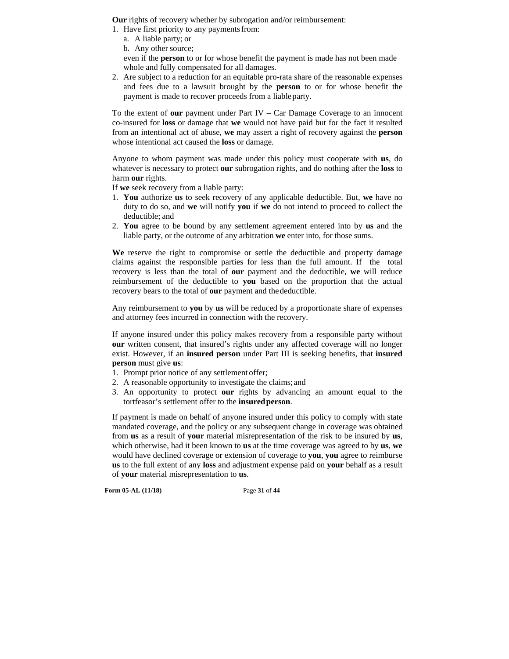**Our** rights of recovery whether by subrogation and/or reimbursement:

- 1. Have first priority to any payments from:
	- a. A liable party; or
	- b. Any other source;

even if the **person** to or for whose benefit the payment is made has not been made whole and fully compensated for all damages.

2. Are subject to a reduction for an equitable pro-rata share of the reasonable expenses and fees due to a lawsuit brought by the **person** to or for whose benefit the payment is made to recover proceeds from a liable party.

To the extent of **our** payment under Part IV – Car Damage Coverage to an innocent co-insured for **loss** or damage that **we** would not have paid but for the fact it resulted from an intentional act of abuse, **we** may assert a right of recovery against the **person**  whose intentional act caused the **loss** or damage.

Anyone to whom payment was made under this policy must cooperate with **us**, do whatever is necessary to protect **our** subrogation rights, and do nothing after the **loss** to harm **our** rights.

If **we** seek recovery from a liable party:

- 1. **You** authorize **us** to seek recovery of any applicable deductible. But, **we** have no duty to do so, and **we** will notify **you** if **we** do not intend to proceed to collect the deductible; and
- 2. **You** agree to be bound by any settlement agreement entered into by **us** and the liable party, or the outcome of any arbitration **we** enter into, for those sums.

**We** reserve the right to compromise or settle the deductible and property damage claims against the responsible parties for less than the full amount. If the total recovery is less than the total of **our** payment and the deductible, **we** will reduce reimbursement of the deductible to **you** based on the proportion that the actual recovery bears to the total of **our** payment and the deductible.

Any reimbursement to **you** by **us** will be reduced by a proportionate share of expenses and attorney fees incurred in connection with the recovery.

If anyone insured under this policy makes recovery from a responsible party without **our** written consent, that insured's rights under any affected coverage will no longer exist. However, if an **insured person** under Part III is seeking benefits, that **insured person** must give **us**:

- 1. Prompt prior notice of any settlement offer;
- 2. A reasonable opportunity to investigate the claims; and
- 3. An opportunity to protect **our** rights by advancing an amount equal to the tortfeasor's settlement offer to the **insured person**.

If payment is made on behalf of anyone insured under this policy to comply with state mandated coverage, and the policy or any subsequent change in coverage was obtained from **us** as a result of **your** material misrepresentation of the risk to be insured by **us**, which otherwise, had it been known to **us** at the time coverage was agreed to by **us**, **we**  would have declined coverage or extension of coverage to **you**, **you** agree to reimburse **us** to the full extent of any **loss** and adjustment expense paid on **your** behalf as a result of **your** material misrepresentation to **us**.

**Form 05-AL (11/18)** Page **31** of **44**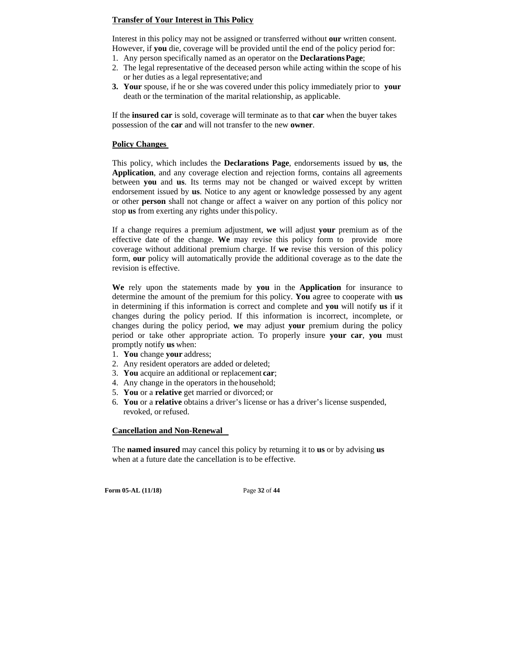# **Transfer of Your Interest in This Policy**

Interest in this policy may not be assigned or transferred without **our** written consent. However, if **you** die, coverage will be provided until the end of the policy period for:

- 1. Any person specifically named as an operator on the **Declarations Page**;
- 2. The legal representative of the deceased person while acting within the scope of his or her duties as a legal representative; and
- **3. Your** spouse, if he or she was covered under this policy immediately prior to **your**  death or the termination of the marital relationship, as applicable.

If the **insured car** is sold, coverage will terminate as to that **car** when the buyer takes possession of the **car** and will not transfer to the new **owner**.

#### **Policy Changes**

This policy, which includes the **Declarations Page**, endorsements issued by **us**, the **Application**, and any coverage election and rejection forms, contains all agreements between **you** and **us**. Its terms may not be changed or waived except by written endorsement issued by **us**. Notice to any agent or knowledge possessed by any agent or other **person** shall not change or affect a waiver on any portion of this policy nor stop **us** from exerting any rights under this policy.

If a change requires a premium adjustment, **we** will adjust **your** premium as of the effective date of the change. **We** may revise this policy form to provide more coverage without additional premium charge. If **we** revise this version of this policy form, **our** policy will automatically provide the additional coverage as to the date the revision is effective.

**We** rely upon the statements made by **you** in the **Application** for insurance to determine the amount of the premium for this policy. **You** agree to cooperate with **us**  in determining if this information is correct and complete and **you** will notify **us** if it changes during the policy period. If this information is incorrect, incomplete, or changes during the policy period, **we** may adjust **your** premium during the policy period or take other appropriate action. To properly insure **your car**, **you** must promptly notify **us** when:

- 1. **You** change **your** address;
- 2. Any resident operators are added or deleted;
- 3. **You** acquire an additional or replacement **car**;
- 4. Any change in the operators in the household;
- 5. **You** or a **relative** get married or divorced; or
- 6. **You** or a **relative** obtains a driver's license or has a driver's license suspended, revoked, or refused.

#### **Cancellation and Non-Renewal**

The **named insured** may cancel this policy by returning it to **us** or by advising **us**  when at a future date the cancellation is to be effective.

**Form 05-AL (11/18)** Page **32** of **44**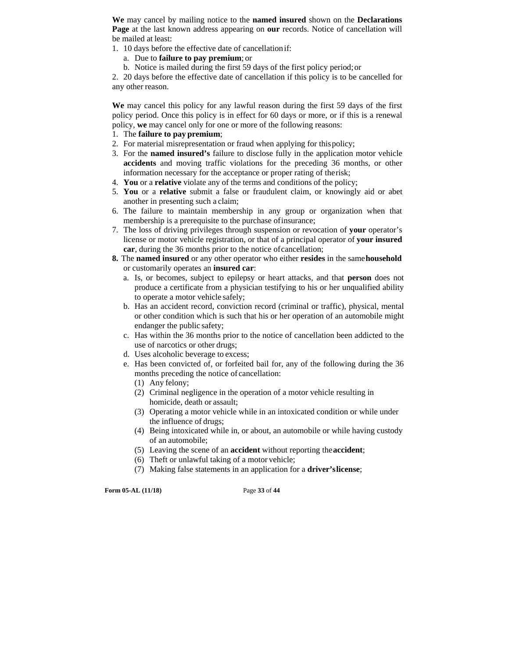**We** may cancel by mailing notice to the **named insured** shown on the **Declarations Page** at the last known address appearing on **our** records. Notice of cancellation will be mailed at least:

- 1. 10 days before the effective date of cancellation if:
	- a. Due to **failure to pay premium**; or
	- b. Notice is mailed during the first 59 days of the first policy period; or

2. 20 days before the effective date of cancellation if this policy is to be cancelled for any other reason.

**We** may cancel this policy for any lawful reason during the first 59 days of the first policy period. Once this policy is in effect for 60 days or more, or if this is a renewal policy, **we** may cancel only for one or more of the following reasons:

- 1. The **failure to pay premium**;
- 2. For material misrepresentation or fraud when applying for this policy;
- 3. For the **named insured's** failure to disclose fully in the application motor vehicle **accidents** and moving traffic violations for the preceding 36 months, or other information necessary for the acceptance or proper rating of the risk;
- 4. **You** or a **relative** violate any of the terms and conditions of the policy;
- 5. **You** or a **relative** submit a false or fraudulent claim, or knowingly aid or abet another in presenting such a claim;
- 6. The failure to maintain membership in any group or organization when that membership is a prerequisite to the purchase of insurance;
- 7. The loss of driving privileges through suspension or revocation of **your** operator's license or motor vehicle registration, or that of a principal operator of **your insured car**, during the 36 months prior to the notice of cancellation;
- **8.** The **named insured** or any other operator who either **resides** in the same **household**  or customarily operates an **insured car**:
	- a. Is, or becomes, subject to epilepsy or heart attacks, and that **person** does not produce a certificate from a physician testifying to his or her unqualified ability to operate a motor vehicle safely;
	- b. Has an accident record, conviction record (criminal or traffic), physical, mental or other condition which is such that his or her operation of an automobile might endanger the public safety;
	- c. Has within the 36 months prior to the notice of cancellation been addicted to the use of narcotics or other drugs;
	- d. Uses alcoholic beverage to excess;
	- e. Has been convicted of, or forfeited bail for, any of the following during the 36 months preceding the notice of cancellation:
		- (1) Any felony;
		- (2) Criminal negligence in the operation of a motor vehicle resulting in homicide, death or assault;
		- (3) Operating a motor vehicle while in an intoxicated condition or while under the influence of drugs;
		- (4) Being intoxicated while in, or about, an automobile or while having custody of an automobile;
		- (5) Leaving the scene of an **accident** without reporting the **accident**;
		- (6) Theft or unlawful taking of a motor vehicle;
		- (7) Making false statements in an application for a **driver's license**;

**Form 05-AL (11/18)** Page **33** of **44**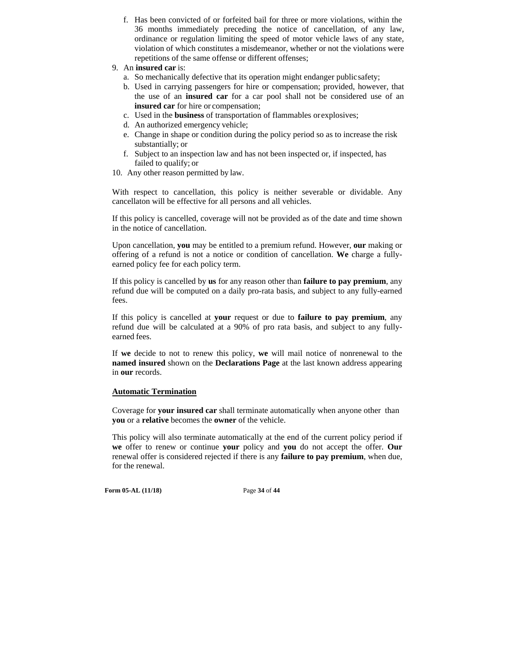- f. Has been convicted of or forfeited bail for three or more violations, within the 36 months immediately preceding the notice of cancellation, of any law, ordinance or regulation limiting the speed of motor vehicle laws of any state, violation of which constitutes a misdemeanor, whether or not the violations were repetitions of the same offense or different offenses;
- 9. An **insured car** is:
	- a. So mechanically defective that its operation might endanger public safety;
	- b. Used in carrying passengers for hire or compensation; provided, however, that the use of an **insured car** for a car pool shall not be considered use of an **insured car** for hire or compensation;
	- c. Used in the **business** of transportation of flammables or explosives;
	- d. An authorized emergency vehicle;
	- e. Change in shape or condition during the policy period so as to increase the risk substantially; or
	- f. Subject to an inspection law and has not been inspected or, if inspected, has failed to qualify; or
- 10. Any other reason permitted by law.

With respect to cancellation, this policy is neither severable or dividable. Any cancellaton will be effective for all persons and all vehicles.

If this policy is cancelled, coverage will not be provided as of the date and time shown in the notice of cancellation.

Upon cancellation, **you** may be entitled to a premium refund. However, **our** making or offering of a refund is not a notice or condition of cancellation. **We** charge a fullyearned policy fee for each policy term.

If this policy is cancelled by **us** for any reason other than **failure to pay premium**, any refund due will be computed on a daily pro-rata basis, and subject to any fully-earned fees.

If this policy is cancelled at **your** request or due to **failure to pay premium**, any refund due will be calculated at a 90% of pro rata basis, and subject to any fullyearned fees.

If **we** decide to not to renew this policy, **we** will mail notice of nonrenewal to the **named insured** shown on the **Declarations Page** at the last known address appearing in **our** records.

# **Automatic Termination**

Coverage for **your insured car** shall terminate automatically when anyone other than **you** or a **relative** becomes the **owner** of the vehicle.

This policy will also terminate automatically at the end of the current policy period if **we** offer to renew or continue **your** policy and **you** do not accept the offer. **Our**  renewal offer is considered rejected if there is any **failure to pay premium**, when due, for the renewal.

**Form 05-AL (11/18)** Page **34** of **44**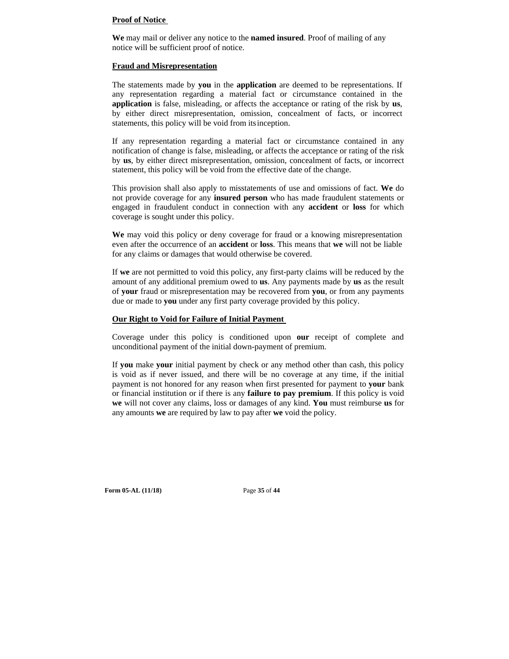#### **Proof of Notice**

**We** may mail or deliver any notice to the **named insured**. Proof of mailing of any notice will be sufficient proof of notice.

#### **Fraud and Misrepresentation**

The statements made by **you** in the **application** are deemed to be representations. If any representation regarding a material fact or circumstance contained in the **application** is false, misleading, or affects the acceptance or rating of the risk by **us**, by either direct misrepresentation, omission, concealment of facts, or incorrect statements, this policy will be void from its inception.

If any representation regarding a material fact or circumstance contained in any notification of change is false, misleading, or affects the acceptance or rating of the risk by **us**, by either direct misrepresentation, omission, concealment of facts, or incorrect statement, this policy will be void from the effective date of the change.

This provision shall also apply to misstatements of use and omissions of fact. **We** do not provide coverage for any **insured person** who has made fraudulent statements or engaged in fraudulent conduct in connection with any **accident** or **loss** for which coverage is sought under this policy.

**We** may void this policy or deny coverage for fraud or a knowing misrepresentation even after the occurrence of an **accident** or **loss**. This means that **we** will not be liable for any claims or damages that would otherwise be covered.

If **we** are not permitted to void this policy, any first-party claims will be reduced by the amount of any additional premium owed to **us**. Any payments made by **us** as the result of **your** fraud or misrepresentation may be recovered from **you**, or from any payments due or made to **you** under any first party coverage provided by this policy.

#### **Our Right to Void for Failure of Initial Payment**

Coverage under this policy is conditioned upon **our** receipt of complete and unconditional payment of the initial down-payment of premium.

If **you** make **your** initial payment by check or any method other than cash, this policy is void as if never issued, and there will be no coverage at any time, if the initial payment is not honored for any reason when first presented for payment to **your** bank or financial institution or if there is any **failure to pay premium**. If this policy is void **we** will not cover any claims, loss or damages of any kind. **You** must reimburse **us** for any amounts **we** are required by law to pay after **we** void the policy.

**Form 05-AL (11/18)** Page **35** of **44**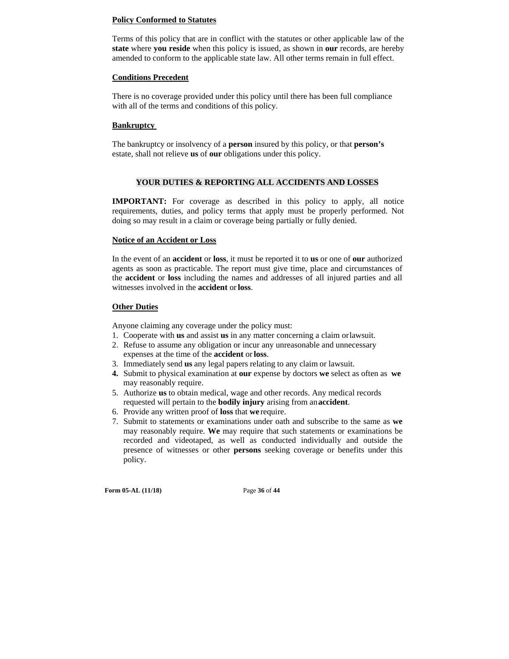#### **Policy Conformed to Statutes**

Terms of this policy that are in conflict with the statutes or other applicable law of the **state** where **you reside** when this policy is issued, as shown in **our** records, are hereby amended to conform to the applicable state law. All other terms remain in full effect.

## **Conditions Precedent**

There is no coverage provided under this policy until there has been full compliance with all of the terms and conditions of this policy.

# **Bankruptcy**

The bankruptcy or insolvency of a **person** insured by this policy, or that **person's**  estate, shall not relieve **us** of **our** obligations under this policy.

# **YOUR DUTIES & REPORTING ALL ACCIDENTS AND LOSSES**

**IMPORTANT:** For coverage as described in this policy to apply, all notice requirements, duties, and policy terms that apply must be properly performed. Not doing so may result in a claim or coverage being partially or fully denied.

# **Notice of an Accident or Loss**

In the event of an **accident** or **loss**, it must be reported it to **us** or one of **our** authorized agents as soon as practicable. The report must give time, place and circumstances of the **accident** or **loss** including the names and addresses of all injured parties and all witnesses involved in the **accident** or **loss**.

# **Other Duties**

Anyone claiming any coverage under the policy must:

- 1. Cooperate with **us** and assist **us** in any matter concerning a claim or lawsuit.
- 2. Refuse to assume any obligation or incur any unreasonable and unnecessary expenses at the time of the **accident** or **loss**.
- 3. Immediately send **us** any legal papers relating to any claim or lawsuit.
- **4.** Submit to physical examination at **our** expense by doctors **we** select as often as **we**  may reasonably require.
- 5. Authorize **us** to obtain medical, wage and other records. Any medical records requested will pertain to the **bodily injury** arising from an **accident**.
- 6. Provide any written proof of **loss** that **we** require.
- 7. Submit to statements or examinations under oath and subscribe to the same as **we**  may reasonably require. **We** may require that such statements or examinations be recorded and videotaped, as well as conducted individually and outside the presence of witnesses or other **persons** seeking coverage or benefits under this policy.

**Form 05-AL (11/18)** Page **36** of **44**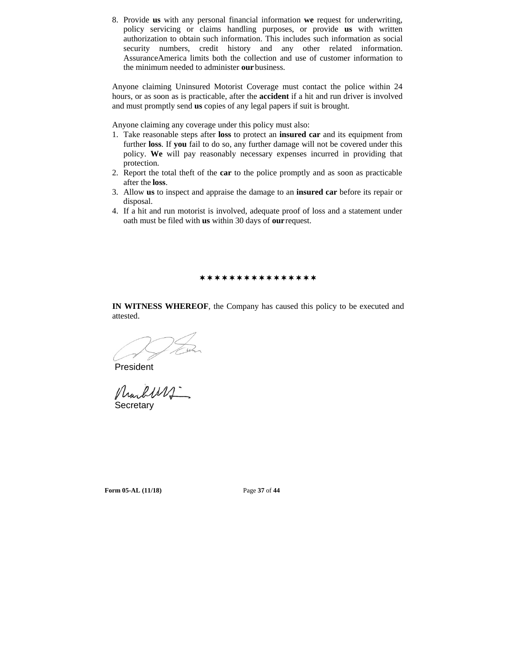8. Provide **us** with any personal financial information **we** request for underwriting, policy servicing or claims handling purposes, or provide **us** with written authorization to obtain such information. This includes such information as social security numbers, credit history and any other related information. AssuranceAmerica limits both the collection and use of customer information to the minimum needed to administer **our** business.

Anyone claiming Uninsured Motorist Coverage must contact the police within 24 hours, or as soon as is practicable, after the **accident** if a hit and run driver is involved and must promptly send **us** copies of any legal papers if suit is brought.

Anyone claiming any coverage under this policy must also:

- 1. Take reasonable steps after **loss** to protect an **insured car** and its equipment from further **loss**. If **you** fail to do so, any further damage will not be covered under this policy. **We** will pay reasonably necessary expenses incurred in providing that protection.
- 2. Report the total theft of the **car** to the police promptly and as soon as practicable after the **loss**.
- 3. Allow **us** to inspect and appraise the damage to an **insured car** before its repair or disposal.
- 4. If a hit and run motorist is involved, adequate proof of loss and a statement under oath must be filed with **us** within 30 days of **our** request.

\*\*\*\*\*\*\*\*\*\*\*\*\*\*\*\*

**IN WITNESS WHEREOF**, the Company has caused this policy to be executed and attested.

President<br>MunlWV **Secretary** 

**Form 05-AL (11/18)** Page **37** of **44**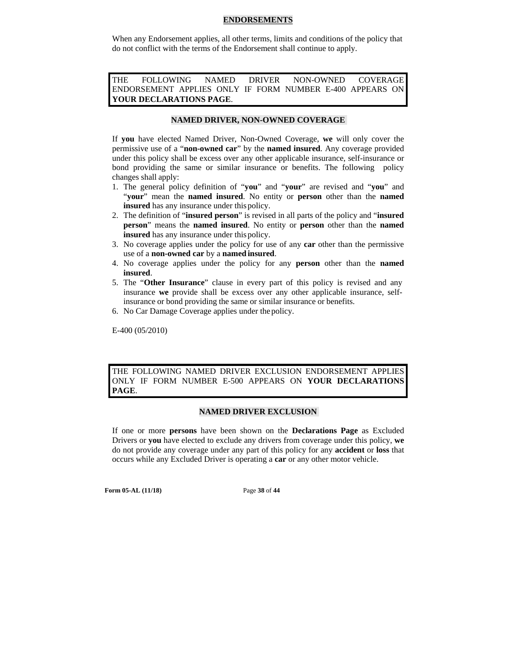#### **ENDORSEMENTS**

When any Endorsement applies, all other terms, limits and conditions of the policy that do not conflict with the terms of the Endorsement shall continue to apply.

THE FOLLOWING NAMED DRIVER NON-OWNED COVERAGE ENDORSEMENT APPLIES ONLY IF FORM NUMBER E-400 APPEARS ON **YOUR DECLARATIONS PAGE**.

#### **NAMED DRIVER, NON-OWNED COVERAGE**

If **you** have elected Named Driver, Non-Owned Coverage, **we** will only cover the permissive use of a "**non-owned car**" by the **named insured**. Any coverage provided under this policy shall be excess over any other applicable insurance, self-insurance or bond providing the same or similar insurance or benefits. The following policy changes shall apply:

- 1. The general policy definition of "**you**" and "**your**" are revised and "**you**" and "**your**" mean the **named insured**. No entity or **person** other than the **named insured** has any insurance under this policy.
- 2. The definition of "**insured person**" is revised in all parts of the policy and "**insured person**" means the **named insured**. No entity or **person** other than the **named insured** has any insurance under this policy.
- 3. No coverage applies under the policy for use of any **car** other than the permissive use of a **non-owned car** by a **named insured**.
- 4. No coverage applies under the policy for any **person** other than the **named insured**.
- 5. The "**Other Insurance**" clause in every part of this policy is revised and any insurance **we** provide shall be excess over any other applicable insurance, selfinsurance or bond providing the same or similar insurance or benefits.
- 6. No Car Damage Coverage applies under the policy.

E-400 (05/2010)

THE FOLLOWING NAMED DRIVER EXCLUSION ENDORSEMENT APPLIES ONLY IF FORM NUMBER E-500 APPEARS ON **YOUR DECLARATIONS PAGE**.

#### **NAMED DRIVER EXCLUSION**

If one or more **persons** have been shown on the **Declarations Page** as Excluded Drivers or **you** have elected to exclude any drivers from coverage under this policy, **we**  do not provide any coverage under any part of this policy for any **accident** or **loss** that occurs while any Excluded Driver is operating a **car** or any other motor vehicle.

**Form 05-AL (11/18)** Page **38** of **44**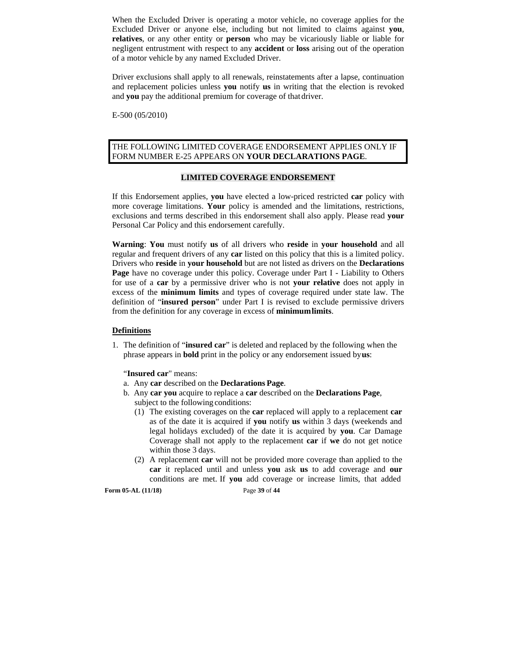When the Excluded Driver is operating a motor vehicle, no coverage applies for the Excluded Driver or anyone else, including but not limited to claims against **you**, **relatives**, or any other entity or **person** who may be vicariously liable or liable for negligent entrustment with respect to any **accident** or **loss** arising out of the operation of a motor vehicle by any named Excluded Driver.

Driver exclusions shall apply to all renewals, reinstatements after a lapse, continuation and replacement policies unless **you** notify **us** in writing that the election is revoked and **you** pay the additional premium for coverage of that driver.

E-500 (05/2010)

## THE FOLLOWING LIMITED COVERAGE ENDORSEMENT APPLIES ONLY IF FORM NUMBER E-25 APPEARS ON **YOUR DECLARATIONS PAGE**.

# **LIMITED COVERAGE ENDORSEMENT**

If this Endorsement applies, **you** have elected a low-priced restricted **car** policy with more coverage limitations. **Your** policy is amended and the limitations, restrictions, exclusions and terms described in this endorsement shall also apply. Please read **your**  Personal Car Policy and this endorsement carefully.

**Warning**: **You** must notify **us** of all drivers who **reside** in **your household** and all regular and frequent drivers of any **car** listed on this policy that this is a limited policy. Drivers who **reside** in **your household** but are not listed as drivers on the **Declarations Page** have no coverage under this policy. Coverage under Part I - Liability to Others for use of a **car** by a permissive driver who is not **your relative** does not apply in excess of the **minimum limits** and types of coverage required under state law. The definition of "**insured person**" under Part I is revised to exclude permissive drivers from the definition for any coverage in excess of **minimum limits**.

#### **Definitions**

1. The definition of "**insured car**" is deleted and replaced by the following when the phrase appears in **bold** print in the policy or any endorsement issued by **us**:

"**Insured car**" means:

- a. Any **car** described on the **Declarations Page**.
- b. Any **car you** acquire to replace a **car** described on the **Declarations Page**, subject to the following conditions:
	- (1) The existing coverages on the **car** replaced will apply to a replacement **car**  as of the date it is acquired if **you** notify **us** within 3 days (weekends and legal holidays excluded) of the date it is acquired by **you**. Car Damage Coverage shall not apply to the replacement **car** if **we** do not get notice within those 3 days.
	- (2) A replacement **car** will not be provided more coverage than applied to the **car** it replaced until and unless **you** ask **us** to add coverage and **our**  conditions are met. If **you** add coverage or increase limits, that added

**Form 05-AL (11/18)** Page **39** of **44**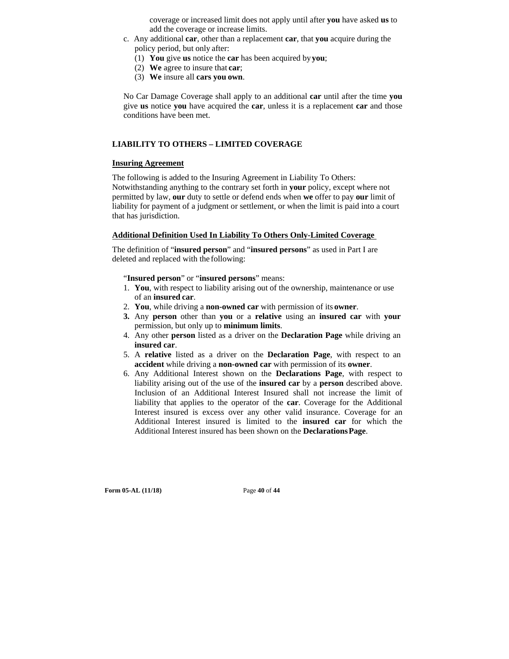coverage or increased limit does not apply until after **you** have asked **us** to add the coverage or increase limits.

- c. Any additional **car**, other than a replacement **car**, that **you** acquire during the policy period, but only after:
	- (1) **You** give **us** notice the **car** has been acquired by **you**;
	- (2) **We** agree to insure that **car**;
	- (3) **We** insure all **cars you own**.

No Car Damage Coverage shall apply to an additional **car** until after the time **you**  give **us** notice **you** have acquired the **car**, unless it is a replacement **car** and those conditions have been met.

# **LIABILITY TO OTHERS – LIMITED COVERAGE**

## **Insuring Agreement**

The following is added to the Insuring Agreement in Liability To Others: Notwithstanding anything to the contrary set forth in **your** policy, except where not permitted by law, **our** duty to settle or defend ends when **we** offer to pay **our** limit of liability for payment of a judgment or settlement, or when the limit is paid into a court that has jurisdiction.

# **Additional Definition Used In Liability To Others Only-Limited Coverage**

The definition of "**insured person**" and "**insured persons**" as used in Part I are deleted and replaced with the following:

# "**Insured person**" or "**insured persons**" means:

- 1. **You**, with respect to liability arising out of the ownership, maintenance or use of an **insured car**.
- 2. **You**, while driving a **non-owned car** with permission of its **owner**.
- **3.** Any **person** other than **you** or a **relative** using an **insured car** with **your**  permission, but only up to **minimum limits**.
- 4. Any other **person** listed as a driver on the **Declaration Page** while driving an **insured car**.
- 5. A **relative** listed as a driver on the **Declaration Page**, with respect to an **accident** while driving a **non-owned car** with permission of its **owner**.
- 6. Any Additional Interest shown on the **Declarations Page**, with respect to liability arising out of the use of the **insured car** by a **person** described above. Inclusion of an Additional Interest Insured shall not increase the limit of liability that applies to the operator of the **car**. Coverage for the Additional Interest insured is excess over any other valid insurance. Coverage for an Additional Interest insured is limited to the **insured car** for which the Additional Interest insured has been shown on the **Declarations Page**.

**Form 05-AL (11/18)** Page **40** of **44**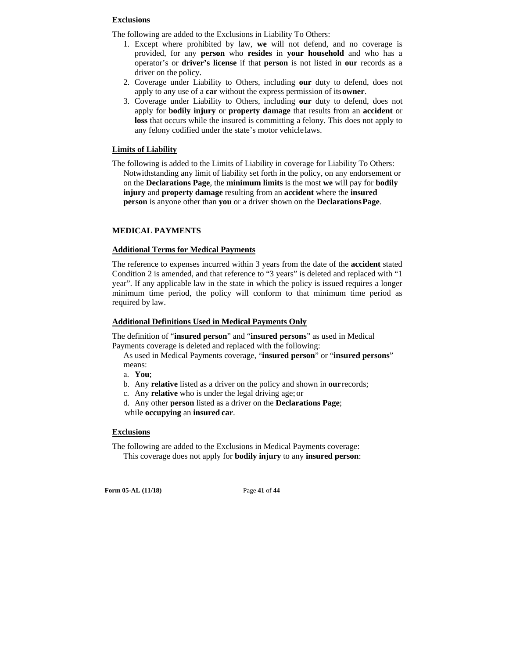### **Exclusions**

The following are added to the Exclusions in Liability To Others:

- 1. Except where prohibited by law, **we** will not defend, and no coverage is provided, for any **person** who **resides** in **your household** and who has a operator's or **driver's license** if that **person** is not listed in **our** records as a driver on the policy.
- 2. Coverage under Liability to Others, including **our** duty to defend, does not apply to any use of a **car** without the express permission of its **owner**.
- 3. Coverage under Liability to Others, including **our** duty to defend, does not apply for **bodily injury** or **property damage** that results from an **accident** or **loss** that occurs while the insured is committing a felony. This does not apply to any felony codified under the state's motor vehicle laws.

# **Limits of Liability**

The following is added to the Limits of Liability in coverage for Liability To Others: Notwithstanding any limit of liability set forth in the policy, on any endorsement or on the **Declarations Page**, the **minimum limits** is the most **we** will pay for **bodily injury** and **property damage** resulting from an **accident** where the **insured person** is anyone other than **you** or a driver shown on the **Declarations Page**.

# **MEDICAL PAYMENTS**

#### **Additional Terms for Medical Payments**

The reference to expenses incurred within 3 years from the date of the **accident** stated Condition 2 is amended, and that reference to "3 years" is deleted and replaced with "1 year". If any applicable law in the state in which the policy is issued requires a longer minimum time period, the policy will conform to that minimum time period as required by law.

#### **Additional Definitions Used in Medical Payments Only**

The definition of "**insured person**" and "**insured persons**" as used in Medical Payments coverage is deleted and replaced with the following:

As used in Medical Payments coverage, "**insured person**" or "**insured persons**" means:

a. **You**;

- b. Any **relative** listed as a driver on the policy and shown in **our** records;
- c. Any **relative** who is under the legal driving age; or

d. Any other **person** listed as a driver on the **Declarations Page**; while **occupying** an **insured car**.

## **Exclusions**

The following are added to the Exclusions in Medical Payments coverage: This coverage does not apply for **bodily injury** to any **insured person**:

**Form 05-AL (11/18)** Page **41** of **44**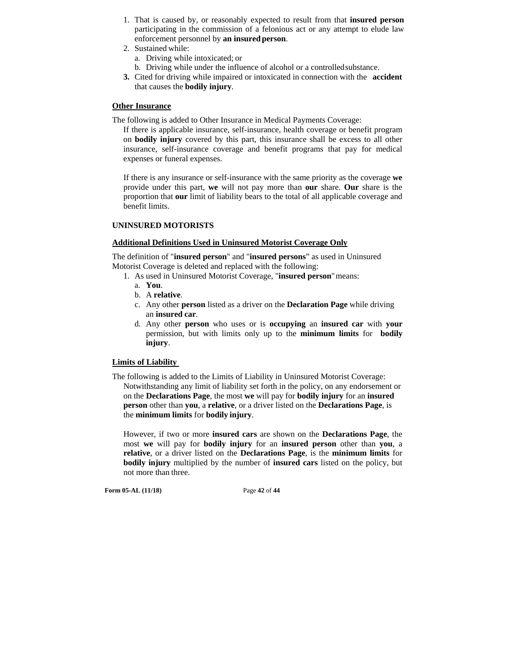- 1. That is caused by, or reasonably expected to result from that **insured person**  participating in the commission of a felonious act or any attempt to elude law enforcement personnel by **an insured person**.
- 2. Sustained while:
	- a. Driving while intoxicated; or
	- b. Driving while under the influence of alcohol or a controlled substance.
- **3.** Cited for driving while impaired or intoxicated in connection with the **accident**  that causes the **bodily injury**.

# **Other Insurance**

The following is added to Other Insurance in Medical Payments Coverage:

If there is applicable insurance, self-insurance, health coverage or benefit program on **bodily injury** covered by this part, this insurance shall be excess to all other insurance, self-insurance coverage and benefit programs that pay for medical expenses or funeral expenses.

If there is any insurance or self-insurance with the same priority as the coverage **we**  provide under this part, **we** will not pay more than **our** share. **Our** share is the proportion that **our** limit of liability bears to the total of all applicable coverage and benefit limits.

#### **UNINSURED MOTORISTS**

#### **Additional Definitions Used in Uninsured Motorist Coverage Only**

The definition of "**insured person**" and "**insured persons**" as used in Uninsured Motorist Coverage is deleted and replaced with the following:

- 1. As used in Uninsured Motorist Coverage, "**insured person**" means:
	- a. **You**.
	- b. A **relative**.
	- c. Any other **person** listed as a driver on the **Declaration Page** while driving an **insured car**.
	- d. Any other **person** who uses or is **occupying** an **insured car** with **your**  permission, but with limits only up to the **minimum limits** for **bodily injury**.

#### **Limits of Liability**

The following is added to the Limits of Liability in Uninsured Motorist Coverage: Notwithstanding any limit of liability set forth in the policy, on any endorsement or on the **Declarations Page**, the most **we** will pay for **bodily injury** for an **insured person** other than **you**, a **relative**, or a driver listed on the **Declarations Page**, is the **minimum limits** for **bodily injury**.

However, if two or more **insured cars** are shown on the **Declarations Page**, the most **we** will pay for **bodily injury** for an **insured person** other than **you**, a **relative**, or a driver listed on the **Declarations Page**, is the **minimum limits** for **bodily injury** multiplied by the number of **insured cars** listed on the policy, but not more than three.

**Form 05-AL (11/18)** Page **42** of **44**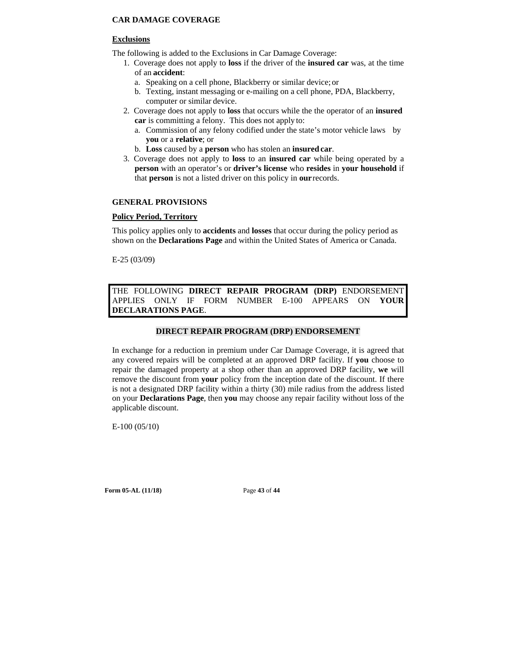# **CAR DAMAGE COVERAGE**

# **Exclusions**

The following is added to the Exclusions in Car Damage Coverage:

- 1. Coverage does not apply to **loss** if the driver of the **insured car** was, at the time of an **accident**:
	- a. Speaking on a cell phone, Blackberry or similar device; or
	- b. Texting, instant messaging or e-mailing on a cell phone, PDA, Blackberry, computer or similar device.
- 2. Coverage does not apply to **loss** that occurs while the the operator of an **insured car** is committing a felony. This does not apply to:
	- a. Commission of any felony codified under the state's motor vehicle laws by **you** or a **relative**; or
	- b. **Loss** caused by a **person** who has stolen an **insured car**.
- 3. Coverage does not apply to **loss** to an **insured car** while being operated by a **person** with an operator's or **driver's license** who **resides** in **your household** if that **person** is not a listed driver on this policy in **our** records.

# **GENERAL PROVISIONS**

# **Policy Period, Territory**

This policy applies only to **accidents** and **losses** that occur during the policy period as shown on the **Declarations Page** and within the United States of America or Canada.

E-25 (03/09)

THE FOLLOWING **DIRECT REPAIR PROGRAM (DRP)** ENDORSEMENT APPLIES ONLY IF FORM NUMBER E-100 APPEARS ON **YOUR DECLARATIONS PAGE**.

# **DIRECT REPAIR PROGRAM (DRP) ENDORSEMENT**

In exchange for a reduction in premium under Car Damage Coverage, it is agreed that any covered repairs will be completed at an approved DRP facility. If **you** choose to repair the damaged property at a shop other than an approved DRP facility, **we** will remove the discount from **your** policy from the inception date of the discount. If there is not a designated DRP facility within a thirty (30) mile radius from the address listed on your **Declarations Page**, then **you** may choose any repair facility without loss of the applicable discount.

E-100 (05/10)

**Form 05-AL (11/18)** Page **43** of **44**